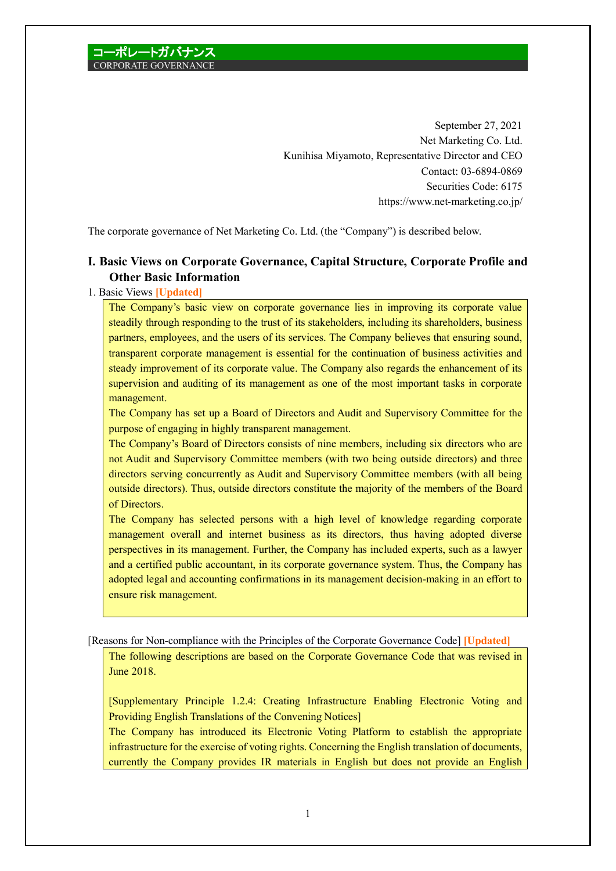September 27, 2021 Net Marketing Co. Ltd. Kunihisa Miyamoto, Representative Director and CEO Contact: 03-6894-0869 Securities Code: 6175 https://www.net-marketing.co.jp/

The corporate governance of Net Marketing Co. Ltd. (the "Company") is described below.

## **I. Basic Views on Corporate Governance, Capital Structure, Corporate Profile and Other Basic Information**

## 1. Basic Views **[Updated]**

The Company's basic view on corporate governance lies in improving its corporate value steadily through responding to the trust of its stakeholders, including its shareholders, business partners, employees, and the users of its services. The Company believes that ensuring sound, transparent corporate management is essential for the continuation of business activities and steady improvement of its corporate value. The Company also regards the enhancement of its supervision and auditing of its management as one of the most important tasks in corporate management.

The Company has set up a Board of Directors and Audit and Supervisory Committee for the purpose of engaging in highly transparent management.

The Company's Board of Directors consists of nine members, including six directors who are not Audit and Supervisory Committee members (with two being outside directors) and three directors serving concurrently as Audit and Supervisory Committee members (with all being outside directors). Thus, outside directors constitute the majority of the members of the Board of Directors.

The Company has selected persons with a high level of knowledge regarding corporate management overall and internet business as its directors, thus having adopted diverse perspectives in its management. Further, the Company has included experts, such as a lawyer and a certified public accountant, in its corporate governance system. Thus, the Company has adopted legal and accounting confirmations in its management decision-making in an effort to ensure risk management.

[Reasons for Non-compliance with the Principles of the Corporate Governance Code] **[Updated]**

The following descriptions are based on the Corporate Governance Code that was revised in June 2018.

[Supplementary Principle 1.2.4: Creating Infrastructure Enabling Electronic Voting and Providing English Translations of the Convening Notices]

The Company has introduced its Electronic Voting Platform to establish the appropriate infrastructure for the exercise of voting rights. Concerning the English translation of documents, currently the Company provides IR materials in English but does not provide an English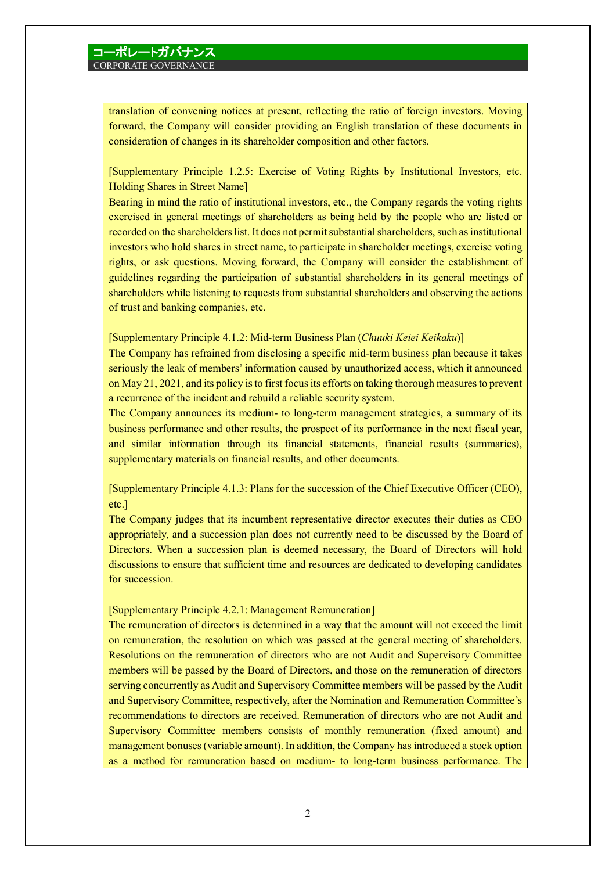translation of convening notices at present, reflecting the ratio of foreign investors. Moving forward, the Company will consider providing an English translation of these documents in consideration of changes in its shareholder composition and other factors.

[Supplementary Principle 1.2.5: Exercise of Voting Rights by Institutional Investors, etc. Holding Shares in Street Name]

Bearing in mind the ratio of institutional investors, etc., the Company regards the voting rights exercised in general meetings of shareholders as being held by the people who are listed or recorded on the shareholders list. It does not permit substantial shareholders, such as institutional investors who hold shares in street name, to participate in shareholder meetings, exercise voting rights, or ask questions. Moving forward, the Company will consider the establishment of guidelines regarding the participation of substantial shareholders in its general meetings of shareholders while listening to requests from substantial shareholders and observing the actions of trust and banking companies, etc.

### [Supplementary Principle 4.1.2: Mid-term Business Plan (*Chuuki Keiei Keikaku*)]

The Company has refrained from disclosing a specific mid-term business plan because it takes seriously the leak of members' information caused by unauthorized access, which it announced on May 21, 2021, and its policy is to first focus its efforts on taking thorough measures to prevent a recurrence of the incident and rebuild a reliable security system.

The Company announces its medium- to long-term management strategies, a summary of its business performance and other results, the prospect of its performance in the next fiscal year, and similar information through its financial statements, financial results (summaries), supplementary materials on financial results, and other documents.

[Supplementary Principle 4.1.3: Plans for the succession of the Chief Executive Officer (CEO), etc.]

The Company judges that its incumbent representative director executes their duties as CEO appropriately, and a succession plan does not currently need to be discussed by the Board of Directors. When a succession plan is deemed necessary, the Board of Directors will hold discussions to ensure that sufficient time and resources are dedicated to developing candidates for succession.

### [Supplementary Principle 4.2.1: Management Remuneration]

The remuneration of directors is determined in a way that the amount will not exceed the limit on remuneration, the resolution on which was passed at the general meeting of shareholders. Resolutions on the remuneration of directors who are not Audit and Supervisory Committee members will be passed by the Board of Directors, and those on the remuneration of directors serving concurrently as Audit and Supervisory Committee members will be passed by the Audit and Supervisory Committee, respectively, after the Nomination and Remuneration Committee's recommendations to directors are received. Remuneration of directors who are not Audit and Supervisory Committee members consists of monthly remuneration (fixed amount) and management bonuses (variable amount). In addition, the Company has introduced a stock option as a method for remuneration based on medium- to long-term business performance. The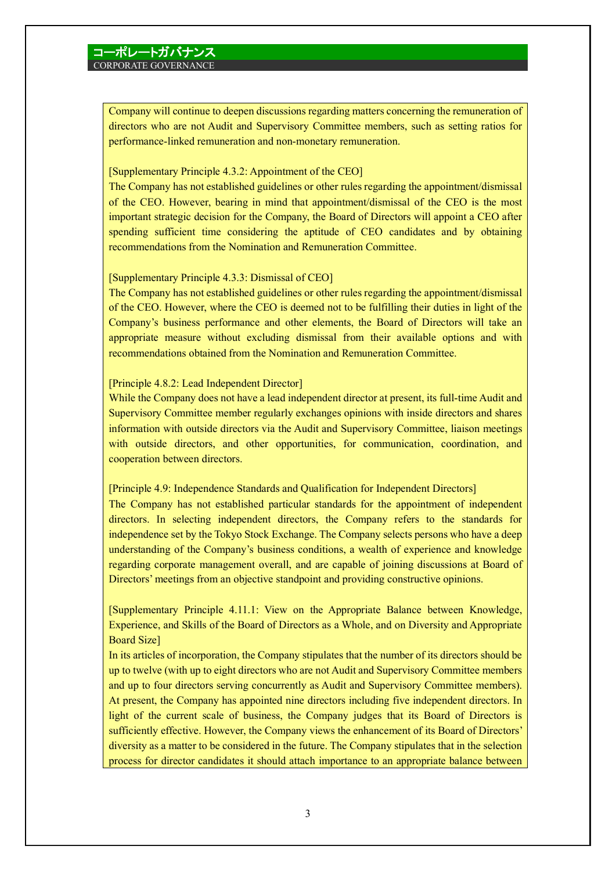Company will continue to deepen discussions regarding matters concerning the remuneration of directors who are not Audit and Supervisory Committee members, such as setting ratios for performance-linked remuneration and non-monetary remuneration.

### [Supplementary Principle 4.3.2: Appointment of the CEO]

The Company has not established guidelines or other rules regarding the appointment/dismissal of the CEO. However, bearing in mind that appointment/dismissal of the CEO is the most important strategic decision for the Company, the Board of Directors will appoint a CEO after spending sufficient time considering the aptitude of CEO candidates and by obtaining recommendations from the Nomination and Remuneration Committee.

### [Supplementary Principle 4.3.3: Dismissal of CEO]

The Company has not established guidelines or other rules regarding the appointment/dismissal of the CEO. However, where the CEO is deemed not to be fulfilling their duties in light of the Company's business performance and other elements, the Board of Directors will take an appropriate measure without excluding dismissal from their available options and with recommendations obtained from the Nomination and Remuneration Committee.

### [Principle 4.8.2: Lead Independent Director]

While the Company does not have a lead independent director at present, its full-time Audit and Supervisory Committee member regularly exchanges opinions with inside directors and shares information with outside directors via the Audit and Supervisory Committee, liaison meetings with outside directors, and other opportunities, for communication, coordination, and cooperation between directors.

[Principle 4.9: Independence Standards and Qualification for Independent Directors] The Company has not established particular standards for the appointment of independent directors. In selecting independent directors, the Company refers to the standards for independence set by the Tokyo Stock Exchange. The Company selects persons who have a deep understanding of the Company's business conditions, a wealth of experience and knowledge regarding corporate management overall, and are capable of joining discussions at Board of Directors' meetings from an objective standpoint and providing constructive opinions.

[Supplementary Principle 4.11.1: View on the Appropriate Balance between Knowledge, Experience, and Skills of the Board of Directors as a Whole, and on Diversity and Appropriate Board Size]

In its articles of incorporation, the Company stipulates that the number of its directors should be up to twelve (with up to eight directors who are not Audit and Supervisory Committee members and up to four directors serving concurrently as Audit and Supervisory Committee members). At present, the Company has appointed nine directors including five independent directors. In light of the current scale of business, the Company judges that its Board of Directors is sufficiently effective. However, the Company views the enhancement of its Board of Directors' diversity as a matter to be considered in the future. The Company stipulates that in the selection process for director candidates it should attach importance to an appropriate balance between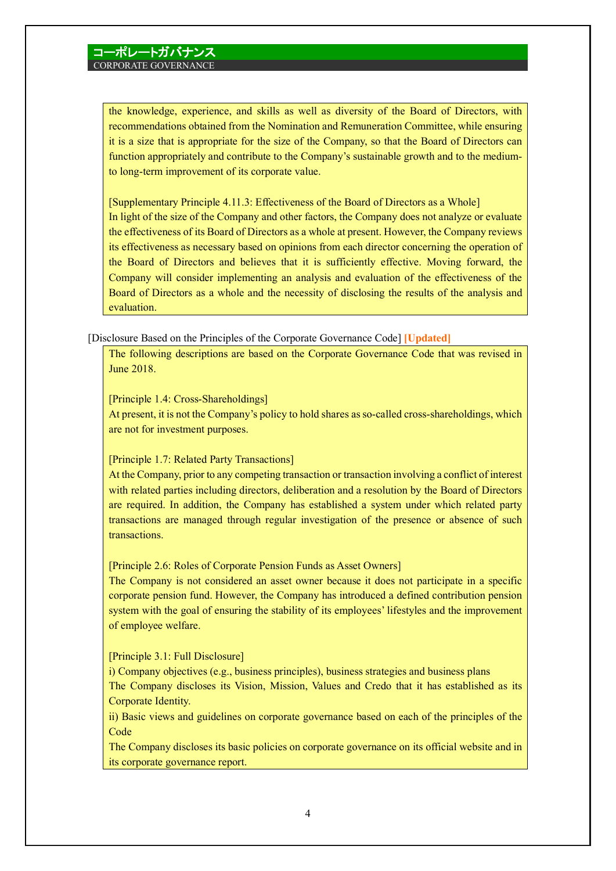the knowledge, experience, and skills as well as diversity of the Board of Directors, with recommendations obtained from the Nomination and Remuneration Committee, while ensuring it is a size that is appropriate for the size of the Company, so that the Board of Directors can function appropriately and contribute to the Company's sustainable growth and to the mediumto long-term improvement of its corporate value.

[Supplementary Principle 4.11.3: Effectiveness of the Board of Directors as a Whole] In light of the size of the Company and other factors, the Company does not analyze or evaluate the effectiveness of its Board of Directors as a whole at present. However, the Company reviews its effectiveness as necessary based on opinions from each director concerning the operation of the Board of Directors and believes that it is sufficiently effective. Moving forward, the Company will consider implementing an analysis and evaluation of the effectiveness of the Board of Directors as a whole and the necessity of disclosing the results of the analysis and evaluation.

[Disclosure Based on the Principles of the Corporate Governance Code] **[Updated]**

The following descriptions are based on the Corporate Governance Code that was revised in June 2018.

[Principle 1.4: Cross-Shareholdings]

At present, it is not the Company's policy to hold shares as so-called cross-shareholdings, which are not for investment purposes.

### [Principle 1.7: Related Party Transactions]

At the Company, prior to any competing transaction or transaction involving a conflict of interest with related parties including directors, deliberation and a resolution by the Board of Directors are required. In addition, the Company has established a system under which related party transactions are managed through regular investigation of the presence or absence of such transactions.

[Principle 2.6: Roles of Corporate Pension Funds as Asset Owners]

The Company is not considered an asset owner because it does not participate in a specific corporate pension fund. However, the Company has introduced a defined contribution pension system with the goal of ensuring the stability of its employees' lifestyles and the improvement of employee welfare.

[Principle 3.1: Full Disclosure]

i) Company objectives (e.g., business principles), business strategies and business plans The Company discloses its Vision, Mission, Values and Credo that it has established as its Corporate Identity.

ii) Basic views and guidelines on corporate governance based on each of the principles of the **Code** 

The Company discloses its basic policies on corporate governance on its official website and in its corporate governance report.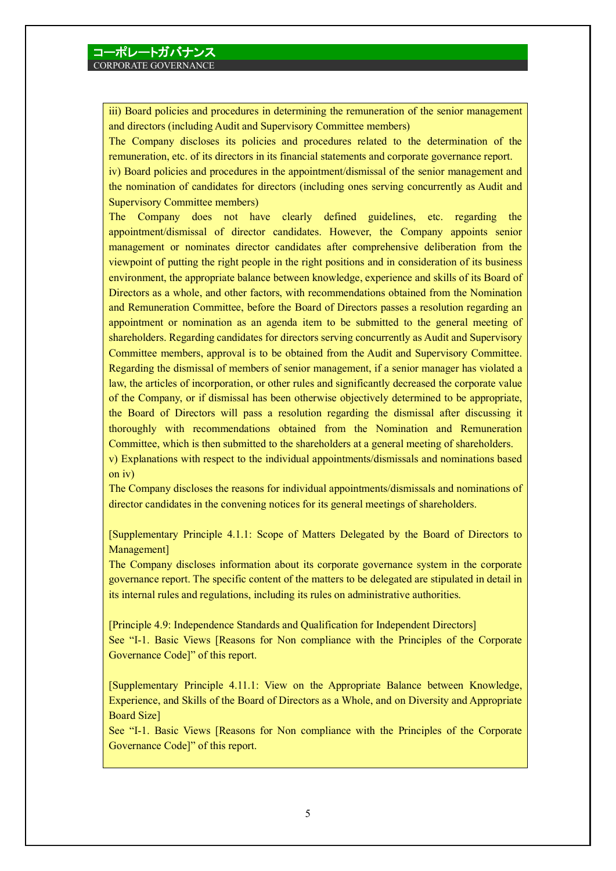iii) Board policies and procedures in determining the remuneration of the senior management and directors (including Audit and Supervisory Committee members)

The Company discloses its policies and procedures related to the determination of the remuneration, etc. of its directors in its financial statements and corporate governance report.

iv) Board policies and procedures in the appointment/dismissal of the senior management and the nomination of candidates for directors (including ones serving concurrently as Audit and Supervisory Committee members)

The Company does not have clearly defined guidelines, etc. regarding the appointment/dismissal of director candidates. However, the Company appoints senior management or nominates director candidates after comprehensive deliberation from the viewpoint of putting the right people in the right positions and in consideration of its business environment, the appropriate balance between knowledge, experience and skills of its Board of Directors as a whole, and other factors, with recommendations obtained from the Nomination and Remuneration Committee, before the Board of Directors passes a resolution regarding an appointment or nomination as an agenda item to be submitted to the general meeting of shareholders. Regarding candidates for directors serving concurrently as Audit and Supervisory Committee members, approval is to be obtained from the Audit and Supervisory Committee. Regarding the dismissal of members of senior management, if a senior manager has violated a law, the articles of incorporation, or other rules and significantly decreased the corporate value of the Company, or if dismissal has been otherwise objectively determined to be appropriate, the Board of Directors will pass a resolution regarding the dismissal after discussing it thoroughly with recommendations obtained from the Nomination and Remuneration Committee, which is then submitted to the shareholders at a general meeting of shareholders. v) Explanations with respect to the individual appointments/dismissals and nominations based on iv)

The Company discloses the reasons for individual appointments/dismissals and nominations of director candidates in the convening notices for its general meetings of shareholders.

[Supplementary Principle 4.1.1: Scope of Matters Delegated by the Board of Directors to Management]

The Company discloses information about its corporate governance system in the corporate governance report. The specific content of the matters to be delegated are stipulated in detail in its internal rules and regulations, including its rules on administrative authorities.

[Principle 4.9: Independence Standards and Qualification for Independent Directors] See "I-1. Basic Views [Reasons for Non compliance with the Principles of the Corporate Governance Code]" of this report.

[Supplementary Principle 4.11.1: View on the Appropriate Balance between Knowledge, Experience, and Skills of the Board of Directors as a Whole, and on Diversity and Appropriate Board Size]

See "I-1. Basic Views [Reasons for Non compliance with the Principles of the Corporate Governance Code]" of this report.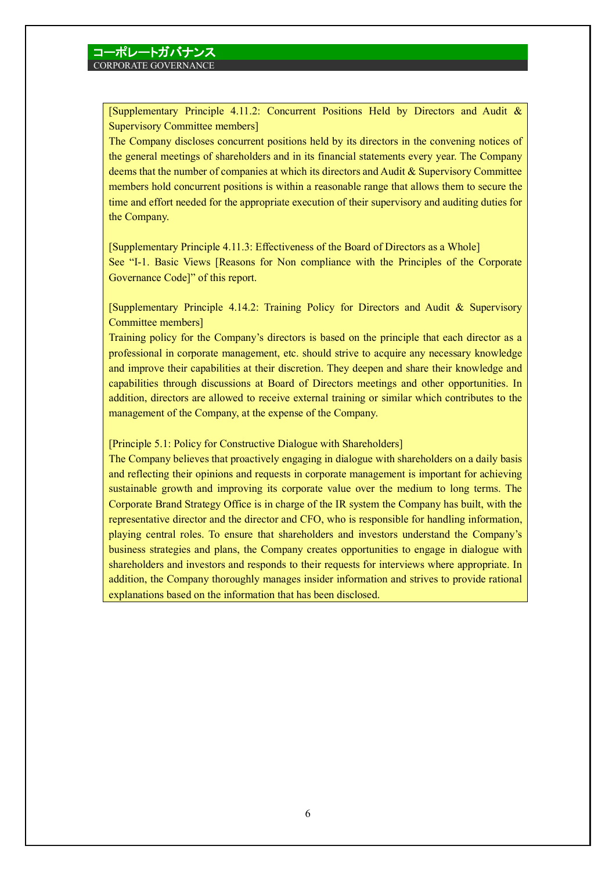[Supplementary Principle 4.11.2: Concurrent Positions Held by Directors and Audit & Supervisory Committee members]

The Company discloses concurrent positions held by its directors in the convening notices of the general meetings of shareholders and in its financial statements every year. The Company deems that the number of companies at which its directors and Audit & Supervisory Committee members hold concurrent positions is within a reasonable range that allows them to secure the time and effort needed for the appropriate execution of their supervisory and auditing duties for the Company.

[Supplementary Principle 4.11.3: Effectiveness of the Board of Directors as a Whole] See "I-1. Basic Views [Reasons for Non compliance with the Principles of the Corporate Governance Code]" of this report.

[Supplementary Principle 4.14.2: Training Policy for Directors and Audit & Supervisory Committee members]

Training policy for the Company's directors is based on the principle that each director as a professional in corporate management, etc. should strive to acquire any necessary knowledge and improve their capabilities at their discretion. They deepen and share their knowledge and capabilities through discussions at Board of Directors meetings and other opportunities. In addition, directors are allowed to receive external training or similar which contributes to the management of the Company, at the expense of the Company.

[Principle 5.1: Policy for Constructive Dialogue with Shareholders]

The Company believes that proactively engaging in dialogue with shareholders on a daily basis and reflecting their opinions and requests in corporate management is important for achieving sustainable growth and improving its corporate value over the medium to long terms. The Corporate Brand Strategy Office is in charge of the IR system the Company has built, with the representative director and the director and CFO, who is responsible for handling information, playing central roles. To ensure that shareholders and investors understand the Company's business strategies and plans, the Company creates opportunities to engage in dialogue with shareholders and investors and responds to their requests for interviews where appropriate. In addition, the Company thoroughly manages insider information and strives to provide rational explanations based on the information that has been disclosed.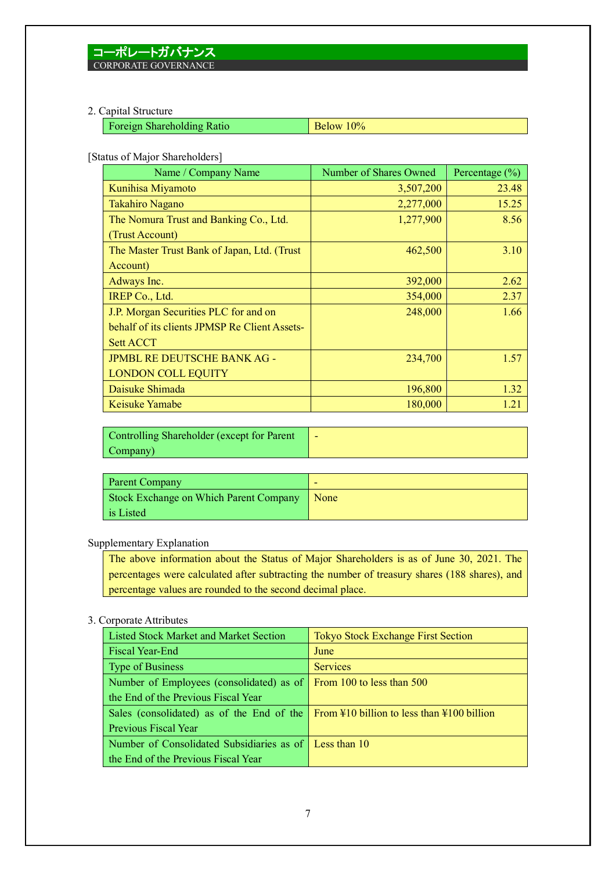### 2. Capital Structure

| <b>Foreign Shareholding Ratio</b> | $\vert$ Below 10% |
|-----------------------------------|-------------------|
|                                   |                   |

[Status of Major Shareholders]

| Name / Company Name                           | Number of Shares Owned | Percentage $(\% )$ |
|-----------------------------------------------|------------------------|--------------------|
| Kunihisa Miyamoto                             | 3,507,200              | 23.48              |
| <b>Takahiro Nagano</b>                        | 2,277,000              | 15.25              |
| The Nomura Trust and Banking Co., Ltd.        | 1,277,900              | 8.56               |
| (Trust Account)                               |                        |                    |
| The Master Trust Bank of Japan, Ltd. (Trust   | 462,500                | 3.10               |
| Account)                                      |                        |                    |
| Adways Inc.                                   | 392,000                | 2.62               |
| IREP Co., Ltd.                                | 354,000                | 2.37               |
| J.P. Morgan Securities PLC for and on         | 248,000                | 1.66               |
| behalf of its clients JPMSP Re Client Assets- |                        |                    |
| <b>Sett ACCT</b>                              |                        |                    |
| <b>JPMBL RE DEUTSCHE BANK AG -</b>            | 234,700                | 1.57               |
| <b>LONDON COLL EQUITY</b>                     |                        |                    |
| Daisuke Shimada                               | 196,800                | 1.32               |
| Keisuke Yamabe                                | 180,000                | 1.21               |

Controlling Shareholder (except for Parent Company) -

| <b>Parent Company</b>                  | -    |
|----------------------------------------|------|
| Stock Exchange on Which Parent Company | None |
| is Listed                              |      |

## Supplementary Explanation

The above information about the Status of Major Shareholders is as of June 30, 2021. The percentages were calculated after subtracting the number of treasury shares (188 shares), and percentage values are rounded to the second decimal place.

### 3. Corporate Attributes

| <b>Listed Stock Market and Market Section</b>                                                        | <b>Tokyo Stock Exchange First Section</b> |
|------------------------------------------------------------------------------------------------------|-------------------------------------------|
| <b>Fiscal Year-End</b>                                                                               | June                                      |
| Type of Business                                                                                     | <b>Services</b>                           |
| Number of Employees (consolidated) as of From 100 to less than $500$                                 |                                           |
| the End of the Previous Fiscal Year                                                                  |                                           |
| Sales (consolidated) as of the End of the $\frac{1}{2}$ From \#10 billion to less than \#100 billion |                                           |
| <b>Previous Fiscal Year</b>                                                                          |                                           |
| Number of Consolidated Subsidiaries as of Less than 10                                               |                                           |
| the End of the Previous Fiscal Year                                                                  |                                           |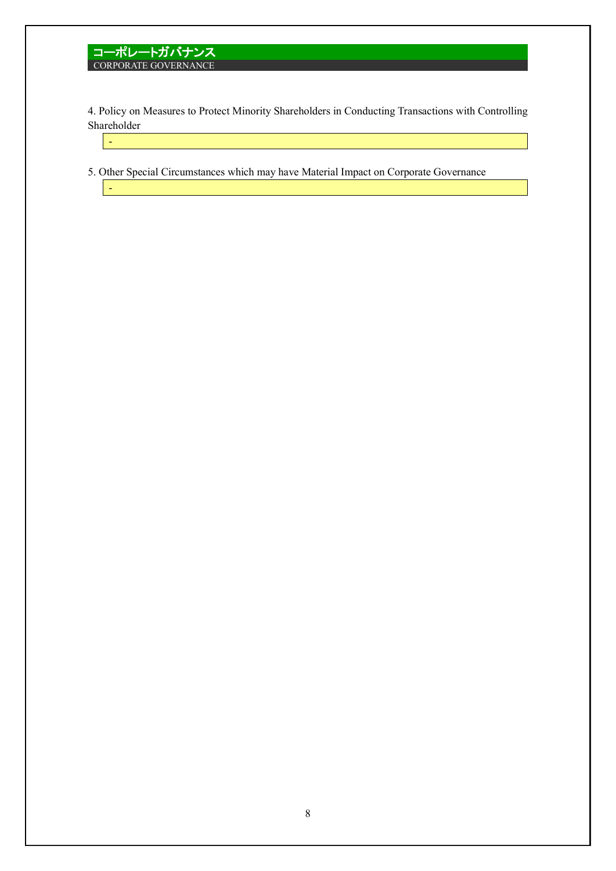-

-

4. Policy on Measures to Protect Minority Shareholders in Conducting Transactions with Controlling Shareholder

5. Other Special Circumstances which may have Material Impact on Corporate Governance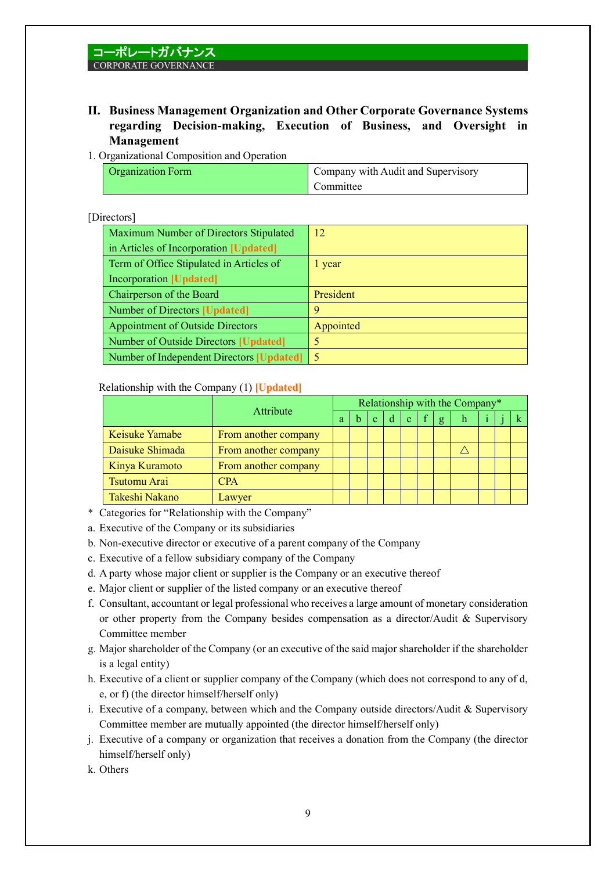## **II. Business Management Organization and Other Corporate Governance Systems regarding Decision-making, Execution of Business, and Oversight in Management**

### 1. Organizational Composition and Operation

| <b>Organization Form</b> | Company with Audit and Supervisory |
|--------------------------|------------------------------------|
|                          | Committee                          |

## [Directors]

| Maximum Number of Directors Stipulated    | 12        |
|-------------------------------------------|-----------|
| in Articles of Incorporation [Updated]    |           |
| Term of Office Stipulated in Articles of  | l year    |
| <b>Incorporation [Updated]</b>            |           |
| Chairperson of the Board                  | President |
| Number of Directors [Updated]             | 9         |
| <b>Appointment of Outside Directors</b>   | Appointed |
| Number of Outside Directors [Updated]     | 5         |
| Number of Independent Directors [Updated] | $\sim$    |

## Relationship with the Company (1) **[Updated]**

|                       | Attribute            |   | Relationship with the Company* |              |   |   |  |              |              |  |  |  |
|-----------------------|----------------------|---|--------------------------------|--------------|---|---|--|--------------|--------------|--|--|--|
|                       |                      | a |                                | $\mathbf{C}$ | d | e |  | $\mathbf{g}$ | $\mathbf{h}$ |  |  |  |
| <b>Keisuke Yamabe</b> | From another company |   |                                |              |   |   |  |              |              |  |  |  |
| Daisuke Shimada       | From another company |   |                                |              |   |   |  |              |              |  |  |  |
| Kinya Kuramoto        | From another company |   |                                |              |   |   |  |              |              |  |  |  |
| Tsutomu Arai          | <b>CPA</b>           |   |                                |              |   |   |  |              |              |  |  |  |
| Takeshi Nakano        | Lawyer               |   |                                |              |   |   |  |              |              |  |  |  |

\* Categories for "Relationship with the Company"

- a. Executive of the Company or its subsidiaries
- b. Non-executive director or executive of a parent company of the Company
- c. Executive of a fellow subsidiary company of the Company
- d. A party whose major client or supplier is the Company or an executive thereof
- e. Major client or supplier of the listed company or an executive thereof
- f. Consultant, accountant or legal professional who receives a large amount of monetary consideration or other property from the Company besides compensation as a director/Audit & Supervisory Committee member
- g. Major shareholder of the Company (or an executive of the said major shareholder if the shareholder is a legal entity)
- h. Executive of a client or supplier company of the Company (which does not correspond to any of d, e, or f) (the director himself/herself only)
- i. Executive of a company, between which and the Company outside directors/Audit & Supervisory Committee member are mutually appointed (the director himself/herself only)
- j. Executive of a company or organization that receives a donation from the Company (the director himself/herself only)
- k. Others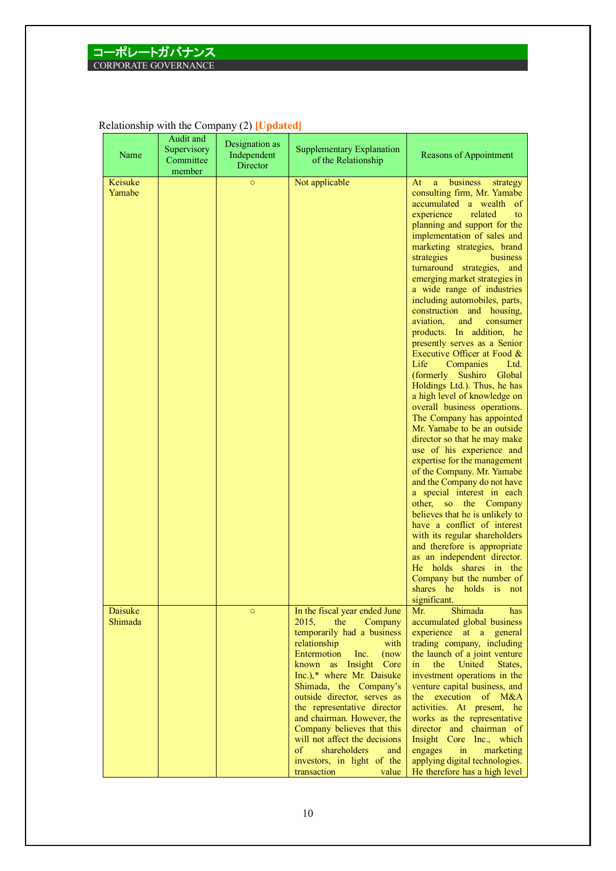| Name               | Audit and<br>Supervisory<br>Committee<br>member | Designation as<br>Independent<br>Director | Supplementary Explanation<br>of the Relationship                                                                                                                                                                                                                                                                                                                                                                                                                             | Reasons of Appointment                                                                                                                                                                                                                                                                                                                                                                                                                                                                                                                                                                                                                                                                                                                                                                                                                                                                                                                                                                                                                                                                                                                                                                                                                                                        |
|--------------------|-------------------------------------------------|-------------------------------------------|------------------------------------------------------------------------------------------------------------------------------------------------------------------------------------------------------------------------------------------------------------------------------------------------------------------------------------------------------------------------------------------------------------------------------------------------------------------------------|-------------------------------------------------------------------------------------------------------------------------------------------------------------------------------------------------------------------------------------------------------------------------------------------------------------------------------------------------------------------------------------------------------------------------------------------------------------------------------------------------------------------------------------------------------------------------------------------------------------------------------------------------------------------------------------------------------------------------------------------------------------------------------------------------------------------------------------------------------------------------------------------------------------------------------------------------------------------------------------------------------------------------------------------------------------------------------------------------------------------------------------------------------------------------------------------------------------------------------------------------------------------------------|
| Keisuke<br>Yamabe  |                                                 | $\circ$                                   | Not applicable                                                                                                                                                                                                                                                                                                                                                                                                                                                               | At<br>business<br>a<br>strategy<br>consulting firm, Mr. Yamabe<br>accumulated a wealth<br><sub>of</sub><br>experience<br>related<br>to<br>planning and support for the<br>implementation of sales and<br>marketing strategies, brand<br>business<br>strategies<br>turnaround strategies, and<br>emerging market strategies in<br>a wide range of industries<br>including automobiles, parts,<br>construction and housing,<br>aviation,<br>and<br>consumer<br>products. In addition, he<br>presently serves as a Senior<br>Executive Officer at Food &<br>Companies<br>Life<br>Ltd.<br>(formerly Sushiro<br>Global<br>Holdings Ltd.). Thus, he has<br>a high level of knowledge on<br>overall business operations.<br>The Company has appointed<br>Mr. Yamabe to be an outside<br>director so that he may make<br>use of his experience and<br>expertise for the management<br>of the Company. Mr. Yamabe<br>and the Company do not have<br>a special interest in each<br>other,<br>so the Company<br>believes that he is unlikely to<br>have a conflict of interest<br>with its regular shareholders<br>and therefore is appropriate<br>as an independent director.<br>He holds<br>shares<br>in the<br>Company but the number of<br>shares he holds is<br>not<br>significant. |
| Daisuke<br>Shimada |                                                 | $\circ$                                   | In the fiscal year ended June<br>2015,<br>the<br>Company<br>temporarily had a business<br>relationship<br>with<br>Entermotion<br>Inc.<br>(now)<br>known as Insight Core<br>Inc.),* where Mr. Daisuke<br>Shimada, the Company's<br>outside director, serves as<br>the representative director<br>and chairman. However, the<br>Company believes that this<br>will not affect the decisions<br>of<br>shareholders<br>and<br>investors, in light of the<br>transaction<br>value | Shimada<br>Mr.<br>has<br>accumulated global business<br>experience at a general<br>trading company, including<br>the launch of a joint venture<br>the<br>United<br>in<br>States,<br>investment operations in the<br>venture capital business, and<br>execution of M&A<br>the<br>activities. At present, he<br>works as the representative<br>director and chairman of<br>Insight Core Inc., which<br>engages<br>marketing<br>$\sin$<br>applying digital technologies.<br>He therefore has a high level                                                                                                                                                                                                                                                                                                                                                                                                                                                                                                                                                                                                                                                                                                                                                                        |

## Relationship with the Company (2) **[Updated]**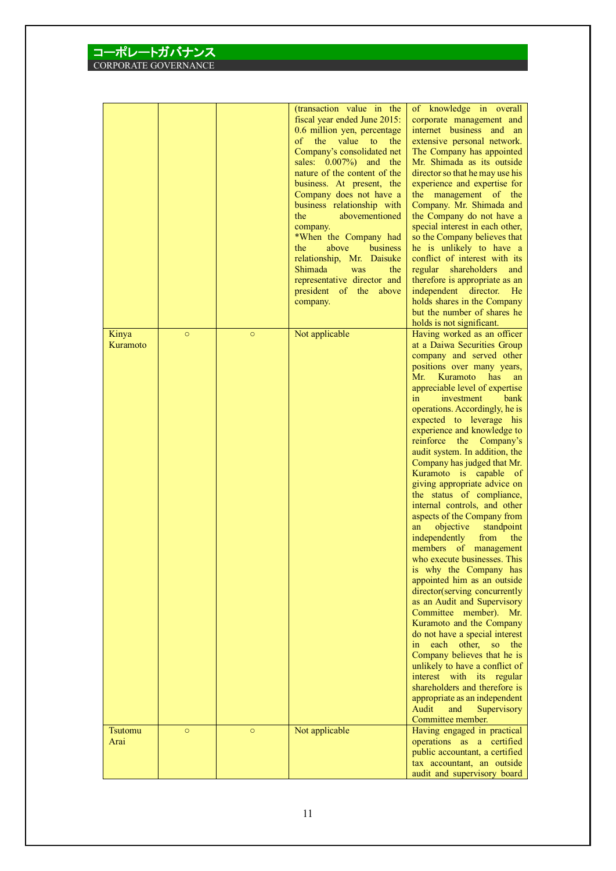|                   |         |         | (transaction value in the<br>fiscal year ended June 2015:<br>0.6 million yen, percentage<br>of the value to<br>the<br>Company's consolidated net<br>sales: 0.007%) and the<br>nature of the content of the<br>business. At present, the<br>Company does not have a<br>business relationship with<br>abovementioned<br>the<br>company.<br>*When the Company had<br>above<br>the<br>business<br>relationship, Mr. Daisuke<br>Shimada<br>was<br>the<br>representative director and<br>president of the above<br>company. | of knowledge in overall<br>corporate management and<br>internet business and an<br>extensive personal network.<br>The Company has appointed<br>Mr. Shimada as its outside<br>director so that he may use his<br>experience and expertise for<br>the management of the<br>Company. Mr. Shimada and<br>the Company do not have a<br>special interest in each other,<br>so the Company believes that<br>he is unlikely to have a<br>conflict of interest with its<br>regular shareholders<br>and<br>therefore is appropriate as an<br>independent<br>director.<br>He<br>holds shares in the Company<br>but the number of shares he                                                                                                                                                                                                                                                                                                                                                                                                                                                                                                                                                                                        |
|-------------------|---------|---------|-----------------------------------------------------------------------------------------------------------------------------------------------------------------------------------------------------------------------------------------------------------------------------------------------------------------------------------------------------------------------------------------------------------------------------------------------------------------------------------------------------------------------|------------------------------------------------------------------------------------------------------------------------------------------------------------------------------------------------------------------------------------------------------------------------------------------------------------------------------------------------------------------------------------------------------------------------------------------------------------------------------------------------------------------------------------------------------------------------------------------------------------------------------------------------------------------------------------------------------------------------------------------------------------------------------------------------------------------------------------------------------------------------------------------------------------------------------------------------------------------------------------------------------------------------------------------------------------------------------------------------------------------------------------------------------------------------------------------------------------------------|
| Kinya<br>Kuramoto | $\circ$ | $\circ$ | Not applicable                                                                                                                                                                                                                                                                                                                                                                                                                                                                                                        | holds is not significant.<br>Having worked as an officer<br>at a Daiwa Securities Group<br>company and served other<br>positions over many years,<br>Mr.<br>Kuramoto<br>has<br>an<br>appreciable level of expertise<br>investment<br>$\sin$<br>bank<br>operations. Accordingly, he is<br>expected to leverage his<br>experience and knowledge to<br>reinforce<br>the<br>Company's<br>audit system. In addition, the<br>Company has judged that Mr.<br>Kuramoto is capable of<br>giving appropriate advice on<br>the status of compliance,<br>internal controls, and other<br>aspects of the Company from<br>objective<br>an<br>standpoint<br>independently<br>from<br>the<br>members of management<br>who execute businesses. This<br>is why the Company has<br>appointed him as an outside<br>director(serving concurrently<br>as an Audit and Supervisory<br>Committee member).<br>Mr.<br>Kuramoto and the Company<br>do not have a special interest<br>each<br>in<br>other,<br><b>SO</b><br>the<br>Company believes that he is<br>unlikely to have a conflict of<br>interest with its regular<br>shareholders and therefore is<br>appropriate as an independent<br>Audit<br>and<br>Supervisory<br>Committee member. |
| Tsutomu<br>Arai   | $\circ$ | $\circ$ | Not applicable                                                                                                                                                                                                                                                                                                                                                                                                                                                                                                        | Having engaged in practical<br>operations as a certified<br>public accountant, a certified<br>tax accountant, an outside<br>audit and supervisory board                                                                                                                                                                                                                                                                                                                                                                                                                                                                                                                                                                                                                                                                                                                                                                                                                                                                                                                                                                                                                                                                |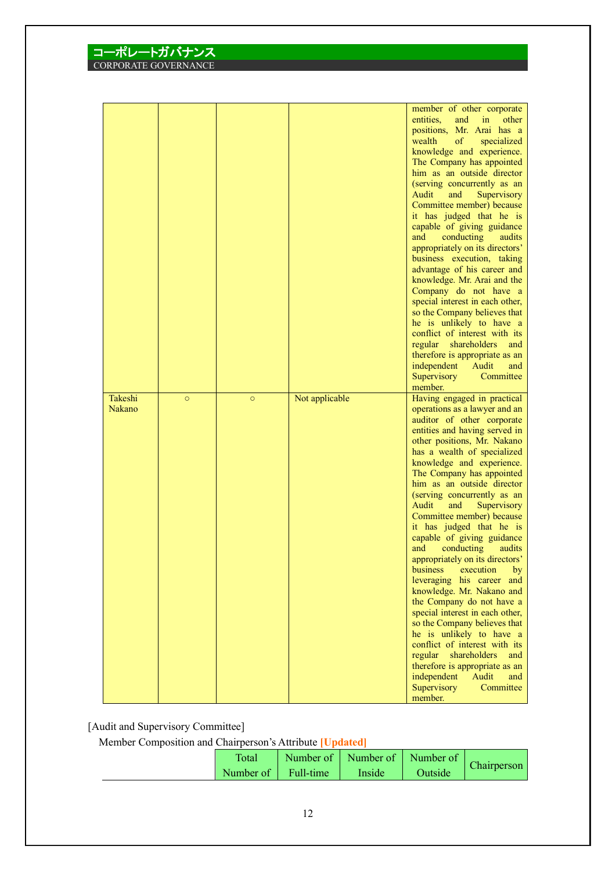|                          |         |         |                | member of other corporate<br>entities,<br>and<br>in<br>other                                                                                                                                                                                                                                                                                                                                                                                                                                                                                                                                                                                                                                                                                                           |
|--------------------------|---------|---------|----------------|------------------------------------------------------------------------------------------------------------------------------------------------------------------------------------------------------------------------------------------------------------------------------------------------------------------------------------------------------------------------------------------------------------------------------------------------------------------------------------------------------------------------------------------------------------------------------------------------------------------------------------------------------------------------------------------------------------------------------------------------------------------------|
|                          |         |         |                | positions, Mr. Arai has a<br>wealth<br>of<br>specialized<br>knowledge and experience.<br>The Company has appointed<br>him as an outside director<br>(serving concurrently as an<br>Audit<br>and<br>Supervisory<br>Committee member) because<br>it has judged that he is<br>capable of giving guidance<br>and<br>conducting<br>audits<br>appropriately on its directors'<br>business execution, taking<br>advantage of his career and<br>knowledge. Mr. Arai and the<br>Company do not have a<br>special interest in each other,<br>so the Company believes that<br>he is unlikely to have a<br>conflict of interest with its<br>regular<br>shareholders<br>and<br>therefore is appropriate as an<br>independent<br>Audit<br>and<br>Supervisory<br>Committee<br>member. |
| Takeshi<br><b>Nakano</b> | $\circ$ | $\circ$ | Not applicable | Having engaged in practical<br>operations as a lawyer and an<br>auditor of other corporate<br>entities and having served in<br>other positions, Mr. Nakano<br>has a wealth of specialized<br>knowledge and experience.<br>The Company has appointed<br>him as an outside director<br>(serving concurrently as an<br>Audit<br>and<br>Supervisory<br>Committee member) because<br>it has judged that he is<br>capable of giving guidance<br>and<br>conducting<br>audits<br>appropriately on its directors'<br>business<br>execution<br>by<br>leveraging his career and                                                                                                                                                                                                   |

[Audit and Supervisory Committee]

コーポレートガバナンス CORPORATE GOVERN

Member Composition and Chairperson's Attribute **[Updated]**

| Total               | Number of   Number of   Number of |         | Chairperson |
|---------------------|-----------------------------------|---------|-------------|
| Number of Full-time | Inside                            | Outside |             |

knowledge. Mr. Nakano and the Company do not have a special interest in each other, so the Company believes that he is unlikely to have a conflict of interest with its regular shareholders and therefore is appropriate as an<br>independent Audit and independent Audit and Supervisory Committee

member.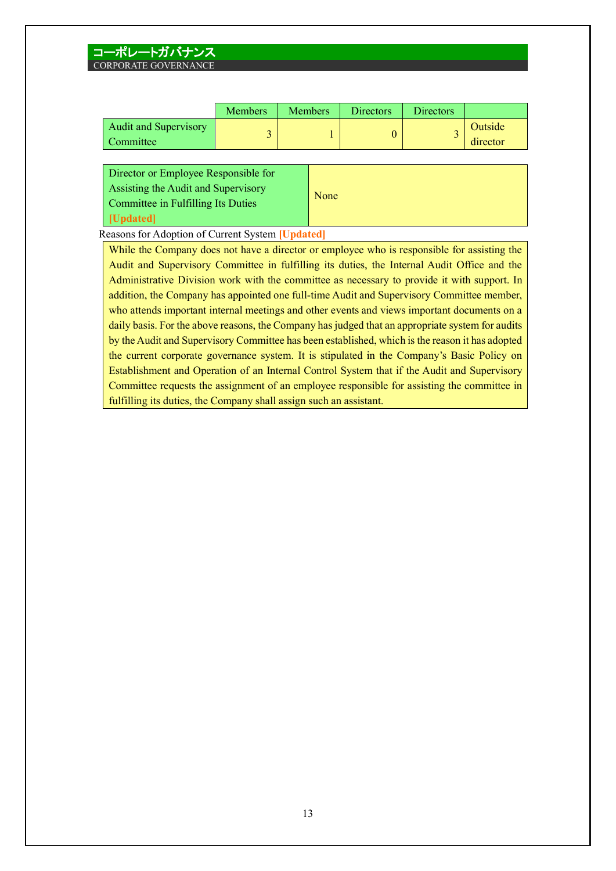|                                           | <b>Members</b> | <b>Members</b> | <b>Directors</b> | <b>Directors</b> |                     |
|-------------------------------------------|----------------|----------------|------------------|------------------|---------------------|
| <b>Audit and Supervisory</b><br>Committee |                |                |                  | -                | Outside<br>director |

| Director or Employee Responsible for |      |
|--------------------------------------|------|
| Assisting the Audit and Supervisory  |      |
| Committee in Fulfilling Its Duties   | None |
| <b>Updated</b>                       |      |

Reasons for Adoption of Current System **[Updated]**

While the Company does not have a director or employee who is responsible for assisting the Audit and Supervisory Committee in fulfilling its duties, the Internal Audit Office and the Administrative Division work with the committee as necessary to provide it with support. In addition, the Company has appointed one full-time Audit and Supervisory Committee member, who attends important internal meetings and other events and views important documents on a daily basis. For the above reasons, the Company has judged that an appropriate system for audits by the Audit and Supervisory Committee has been established, which is the reason it has adopted the current corporate governance system. It is stipulated in the Company's Basic Policy on Establishment and Operation of an Internal Control System that if the Audit and Supervisory Committee requests the assignment of an employee responsible for assisting the committee in fulfilling its duties, the Company shall assign such an assistant.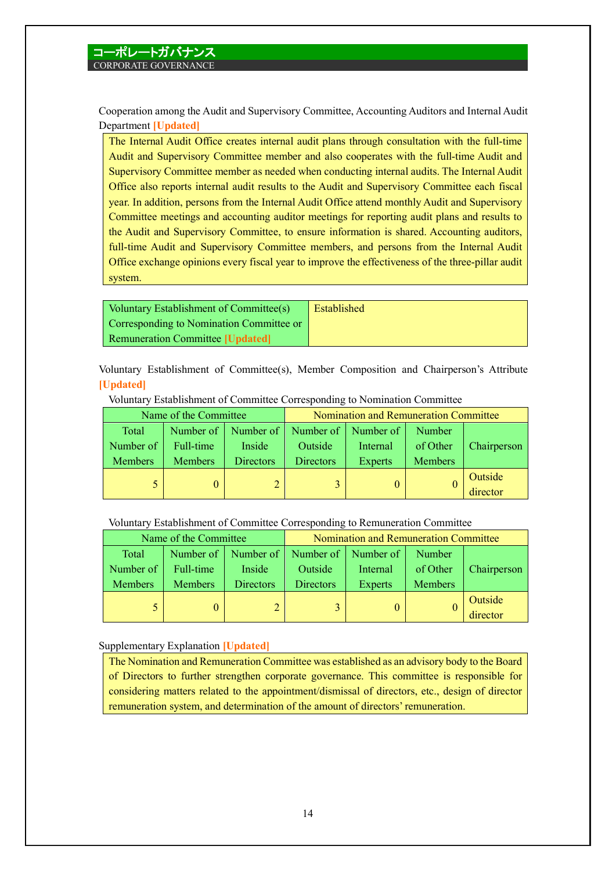Cooperation among the Audit and Supervisory Committee, Accounting Auditors and Internal Audit Department **[Updated]**

The Internal Audit Office creates internal audit plans through consultation with the full-time Audit and Supervisory Committee member and also cooperates with the full-time Audit and Supervisory Committee member as needed when conducting internal audits. The Internal Audit Office also reports internal audit results to the Audit and Supervisory Committee each fiscal year. In addition, persons from the Internal Audit Office attend monthly Audit and Supervisory Committee meetings and accounting auditor meetings for reporting audit plans and results to the Audit and Supervisory Committee, to ensure information is shared. Accounting auditors, full-time Audit and Supervisory Committee members, and persons from the Internal Audit Office exchange opinions every fiscal year to improve the effectiveness of the three-pillar audit system.

| Voluntary Establishment of Committee(s)  | Established |
|------------------------------------------|-------------|
| Corresponding to Nomination Committee or |             |
| <b>Remuneration Committee [Updated]</b>  |             |

Voluntary Establishment of Committee(s), Member Composition and Chairperson's Attribute **[Updated]**

| Name of the Committee |                | Nomination and Remuneration Committee |                                               |          |                |             |
|-----------------------|----------------|---------------------------------------|-----------------------------------------------|----------|----------------|-------------|
| Total                 |                |                                       | Number of   Number of   Number of   Number of |          | Number         |             |
| Number of             | Full-time      | Inside                                | Outside                                       | Internal | of Other       | Chairperson |
| <b>Members</b>        | <b>Members</b> | <b>Directors</b>                      | <b>Directors</b>                              | Experts  | <b>Members</b> |             |
|                       |                |                                       |                                               |          |                | Outside     |
|                       |                |                                       |                                               |          |                | director    |

Voluntary Establishment of Committee Corresponding to Nomination Committee

Voluntary Establishment of Committee Corresponding to Remuneration Committee

|                | Name of the Committee |                  |                                               | Nomination and Remuneration Committee |                |             |
|----------------|-----------------------|------------------|-----------------------------------------------|---------------------------------------|----------------|-------------|
| Total          |                       |                  | Number of   Number of   Number of   Number of |                                       | Number         |             |
| Number of      | Full-time             | Inside           | Outside                                       | Internal                              | of Other       | Chairperson |
| <b>Members</b> | <b>Members</b>        | <b>Directors</b> | <b>Directors</b>                              | Experts                               | <b>Members</b> |             |
|                |                       |                  |                                               |                                       |                | Outside     |
|                |                       |                  |                                               |                                       |                | director    |

Supplementary Explanation **[Updated]**

The Nomination and Remuneration Committee was established as an advisory body to the Board of Directors to further strengthen corporate governance. This committee is responsible for considering matters related to the appointment/dismissal of directors, etc., design of director remuneration system, and determination of the amount of directors' remuneration.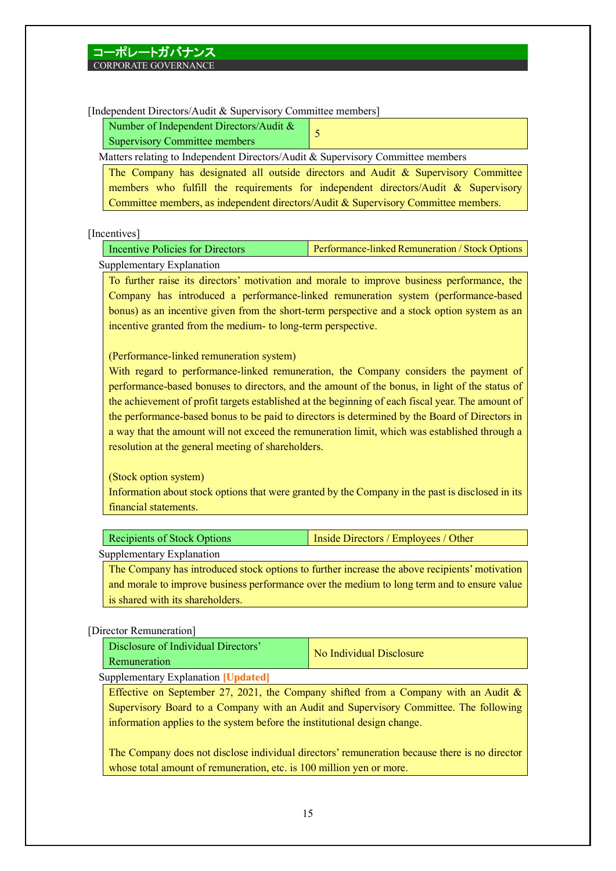[Independent Directors/Audit & Supervisory Committee members]

| Number of Independent Directors/Audit $\&$ |  |
|--------------------------------------------|--|
| Supervisory Committee members              |  |

Matters relating to Independent Directors/Audit & Supervisory Committee members

The Company has designated all outside directors and Audit & Supervisory Committee members who fulfill the requirements for independent directors/Audit  $\&$  Supervisory Committee members, as independent directors/Audit & Supervisory Committee members.

[Incentives]

Incentive Policies for Directors Performance-linked Remuneration / Stock Options Supplementary Explanation

To further raise its directors' motivation and morale to improve business performance, the Company has introduced a performance-linked remuneration system (performance-based bonus) as an incentive given from the short-term perspective and a stock option system as an incentive granted from the medium- to long-term perspective.

(Performance-linked remuneration system)

With regard to performance-linked remuneration, the Company considers the payment of performance-based bonuses to directors, and the amount of the bonus, in light of the status of the achievement of profit targets established at the beginning of each fiscal year. The amount of the performance-based bonus to be paid to directors is determined by the Board of Directors in a way that the amount will not exceed the remuneration limit, which was established through a resolution at the general meeting of shareholders.

(Stock option system)

Information about stock options that were granted by the Company in the past is disclosed in its financial statements.

| <b>Recipients of Stock Options</b> | Inside Directors / Employees / Other |  |  |  |
|------------------------------------|--------------------------------------|--|--|--|
| Supplementary Explanation          |                                      |  |  |  |
| $\sim$                             |                                      |  |  |  |

The Company has introduced stock options to further increase the above recipients' motivation and morale to improve business performance over the medium to long term and to ensure value is shared with its shareholders.

## [Director Remuneration]

| Disclosure of Individual Directors'<br>Remuneration | No Individual Disclosure |
|-----------------------------------------------------|--------------------------|
| Supplementary Evalenction Hindatedl                 |                          |

Supplementary Explanation **[Updated]**

Effective on September 27, 2021, the Company shifted from a Company with an Audit  $\&$ Supervisory Board to a Company with an Audit and Supervisory Committee. The following information applies to the system before the institutional design change.

The Company does not disclose individual directors' remuneration because there is no director whose total amount of remuneration, etc. is 100 million yen or more.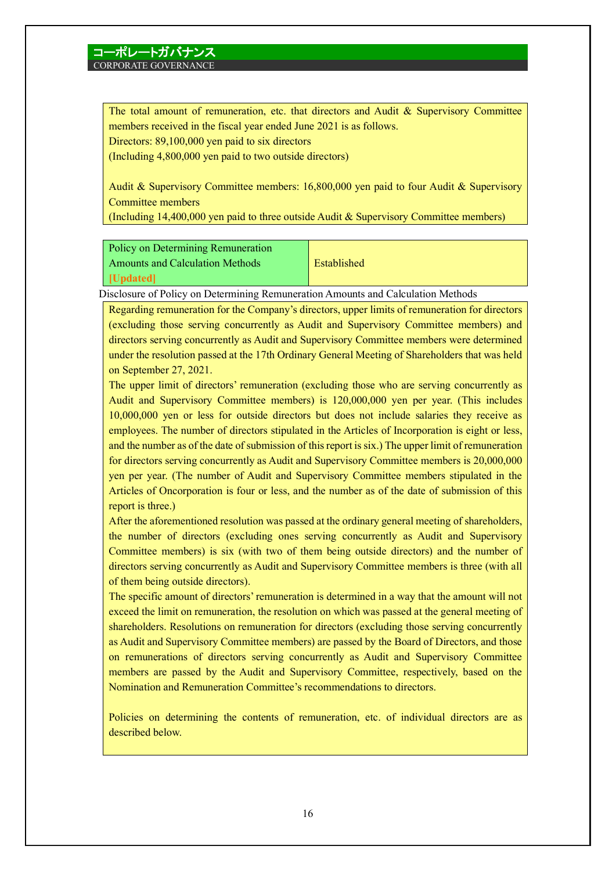# コーポレートガバナンス

## CORPORATE GOVERNANCE

The total amount of remuneration, etc. that directors and Audit  $\&$  Supervisory Committee members received in the fiscal year ended June 2021 is as follows.

Directors: 89,100,000 yen paid to six directors

(Including 4,800,000 yen paid to two outside directors)

Audit & Supervisory Committee members: 16,800,000 yen paid to four Audit & Supervisory Committee members

(Including 14,400,000 yen paid to three outside Audit & Supervisory Committee members)

### Policy on Determining Remuneration

Amounts and Calculation Methods **[Updated]**

Established

Disclosure of Policy on Determining Remuneration Amounts and Calculation Methods

Regarding remuneration for the Company's directors, upper limits of remuneration for directors (excluding those serving concurrently as Audit and Supervisory Committee members) and directors serving concurrently as Audit and Supervisory Committee members were determined under the resolution passed at the 17th Ordinary General Meeting of Shareholders that was held on September 27, 2021.

The upper limit of directors' remuneration (excluding those who are serving concurrently as Audit and Supervisory Committee members) is 120,000,000 yen per year. (This includes 10,000,000 yen or less for outside directors but does not include salaries they receive as employees. The number of directors stipulated in the Articles of Incorporation is eight or less, and the number as of the date of submission of this report is six.) The upper limit of remuneration for directors serving concurrently as Audit and Supervisory Committee members is 20,000,000 yen per year. (The number of Audit and Supervisory Committee members stipulated in the Articles of Oncorporation is four or less, and the number as of the date of submission of this report is three.)

After the aforementioned resolution was passed at the ordinary general meeting of shareholders, the number of directors (excluding ones serving concurrently as Audit and Supervisory Committee members) is six (with two of them being outside directors) and the number of directors serving concurrently as Audit and Supervisory Committee members is three (with all of them being outside directors).

The specific amount of directors' remuneration is determined in a way that the amount will not exceed the limit on remuneration, the resolution on which was passed at the general meeting of shareholders. Resolutions on remuneration for directors (excluding those serving concurrently as Audit and Supervisory Committee members) are passed by the Board of Directors, and those on remunerations of directors serving concurrently as Audit and Supervisory Committee members are passed by the Audit and Supervisory Committee, respectively, based on the Nomination and Remuneration Committee's recommendations to directors.

Policies on determining the contents of remuneration, etc. of individual directors are as described below.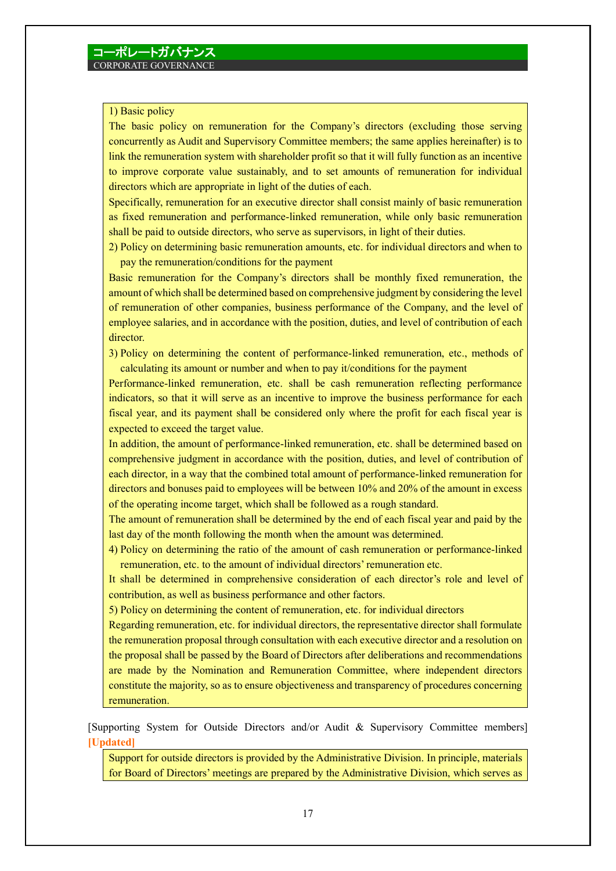### 1) Basic policy

The basic policy on remuneration for the Company's directors (excluding those serving concurrently as Audit and Supervisory Committee members; the same applies hereinafter) is to link the remuneration system with shareholder profit so that it will fully function as an incentive to improve corporate value sustainably, and to set amounts of remuneration for individual directors which are appropriate in light of the duties of each.

Specifically, remuneration for an executive director shall consist mainly of basic remuneration as fixed remuneration and performance-linked remuneration, while only basic remuneration shall be paid to outside directors, who serve as supervisors, in light of their duties.

2) Policy on determining basic remuneration amounts, etc. for individual directors and when to pay the remuneration/conditions for the payment

Basic remuneration for the Company's directors shall be monthly fixed remuneration, the amount of which shall be determined based on comprehensive judgment by considering the level of remuneration of other companies, business performance of the Company, and the level of employee salaries, and in accordance with the position, duties, and level of contribution of each director.

3) Policy on determining the content of performance-linked remuneration, etc., methods of calculating its amount or number and when to pay it/conditions for the payment

Performance-linked remuneration, etc. shall be cash remuneration reflecting performance indicators, so that it will serve as an incentive to improve the business performance for each fiscal year, and its payment shall be considered only where the profit for each fiscal year is expected to exceed the target value.

In addition, the amount of performance-linked remuneration, etc. shall be determined based on comprehensive judgment in accordance with the position, duties, and level of contribution of each director, in a way that the combined total amount of performance-linked remuneration for directors and bonuses paid to employees will be between 10% and 20% of the amount in excess of the operating income target, which shall be followed as a rough standard.

The amount of remuneration shall be determined by the end of each fiscal year and paid by the last day of the month following the month when the amount was determined.

4) Policy on determining the ratio of the amount of cash remuneration or performance-linked remuneration, etc. to the amount of individual directors' remuneration etc.

It shall be determined in comprehensive consideration of each director's role and level of contribution, as well as business performance and other factors.

5) Policy on determining the content of remuneration, etc. for individual directors

Regarding remuneration, etc. for individual directors, the representative director shall formulate the remuneration proposal through consultation with each executive director and a resolution on the proposal shall be passed by the Board of Directors after deliberations and recommendations are made by the Nomination and Remuneration Committee, where independent directors constitute the majority, so as to ensure objectiveness and transparency of procedures concerning remuneration.

[Supporting System for Outside Directors and/or Audit & Supervisory Committee members] **[Updated]**

Support for outside directors is provided by the Administrative Division. In principle, materials for Board of Directors' meetings are prepared by the Administrative Division, which serves as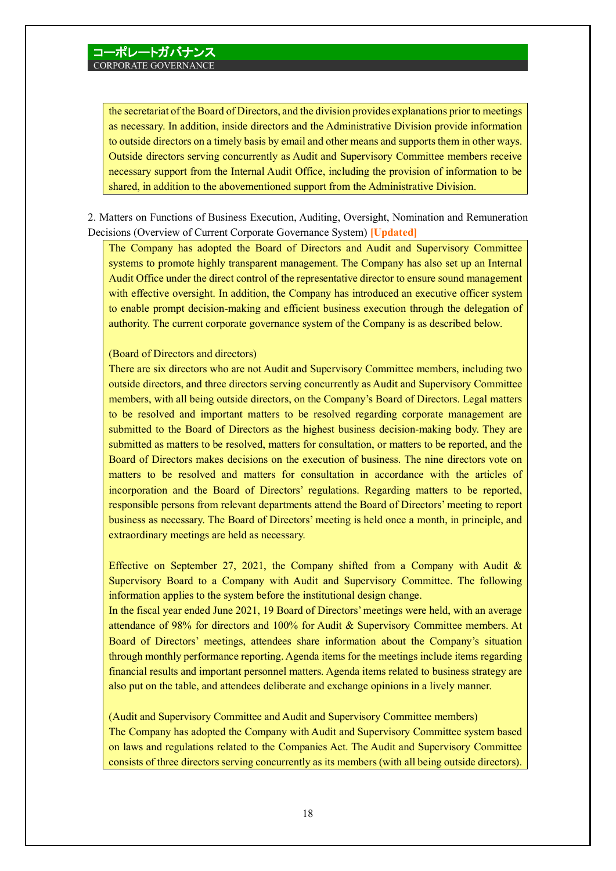the secretariat of the Board of Directors, and the division provides explanations prior to meetings as necessary. In addition, inside directors and the Administrative Division provide information to outside directors on a timely basis by email and other means and supports them in other ways. Outside directors serving concurrently as Audit and Supervisory Committee members receive necessary support from the Internal Audit Office, including the provision of information to be shared, in addition to the abovementioned support from the Administrative Division.

2. Matters on Functions of Business Execution, Auditing, Oversight, Nomination and Remuneration Decisions (Overview of Current Corporate Governance System) **[Updated]**

The Company has adopted the Board of Directors and Audit and Supervisory Committee systems to promote highly transparent management. The Company has also set up an Internal Audit Office under the direct control of the representative director to ensure sound management with effective oversight. In addition, the Company has introduced an executive officer system to enable prompt decision-making and efficient business execution through the delegation of authority. The current corporate governance system of the Company is as described below.

### (Board of Directors and directors)

There are six directors who are not Audit and Supervisory Committee members, including two outside directors, and three directors serving concurrently as Audit and Supervisory Committee members, with all being outside directors, on the Company's Board of Directors. Legal matters to be resolved and important matters to be resolved regarding corporate management are submitted to the Board of Directors as the highest business decision-making body. They are submitted as matters to be resolved, matters for consultation, or matters to be reported, and the Board of Directors makes decisions on the execution of business. The nine directors vote on matters to be resolved and matters for consultation in accordance with the articles of incorporation and the Board of Directors' regulations. Regarding matters to be reported, responsible persons from relevant departments attend the Board of Directors' meeting to report business as necessary. The Board of Directors' meeting is held once a month, in principle, and extraordinary meetings are held as necessary.

Effective on September 27, 2021, the Company shifted from a Company with Audit  $\&$ Supervisory Board to a Company with Audit and Supervisory Committee. The following information applies to the system before the institutional design change.

In the fiscal year ended June 2021, 19 Board of Directors'meetings were held, with an average attendance of 98% for directors and 100% for Audit & Supervisory Committee members. At Board of Directors' meetings, attendees share information about the Company's situation through monthly performance reporting. Agenda items for the meetings include items regarding financial results and important personnel matters. Agenda items related to business strategy are also put on the table, and attendees deliberate and exchange opinions in a lively manner.

(Audit and Supervisory Committee and Audit and Supervisory Committee members) The Company has adopted the Company with Audit and Supervisory Committee system based on laws and regulations related to the Companies Act. The Audit and Supervisory Committee consists of three directors serving concurrently as its members (with all being outside directors).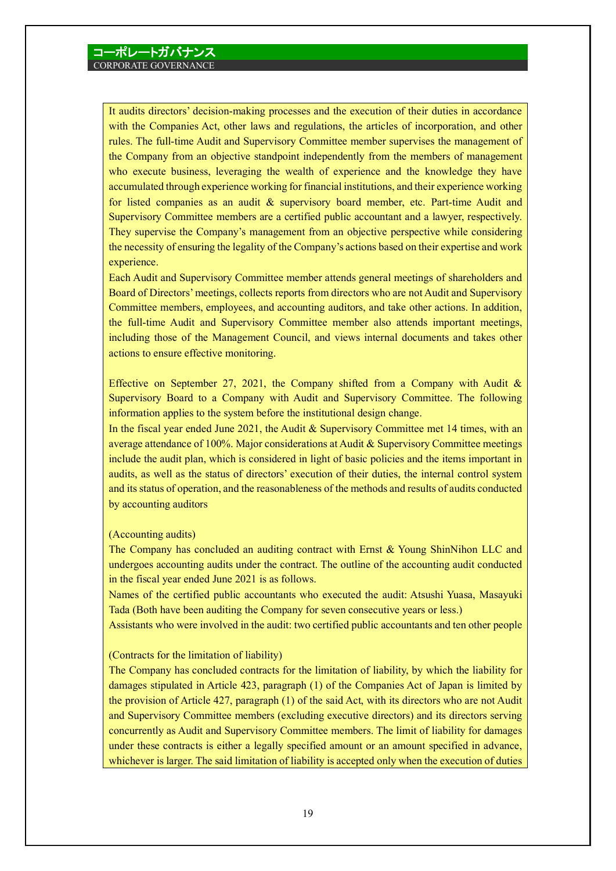It audits directors' decision-making processes and the execution of their duties in accordance with the Companies Act, other laws and regulations, the articles of incorporation, and other rules. The full-time Audit and Supervisory Committee member supervises the management of the Company from an objective standpoint independently from the members of management who execute business, leveraging the wealth of experience and the knowledge they have accumulated through experience working for financial institutions, and their experience working for listed companies as an audit & supervisory board member, etc. Part-time Audit and Supervisory Committee members are a certified public accountant and a lawyer, respectively. They supervise the Company's management from an objective perspective while considering the necessity of ensuring the legality of the Company's actions based on their expertise and work experience.

Each Audit and Supervisory Committee member attends general meetings of shareholders and Board of Directors'meetings, collects reports from directors who are not Audit and Supervisory Committee members, employees, and accounting auditors, and take other actions. In addition, the full-time Audit and Supervisory Committee member also attends important meetings, including those of the Management Council, and views internal documents and takes other actions to ensure effective monitoring.

Effective on September 27, 2021, the Company shifted from a Company with Audit  $\&$ Supervisory Board to a Company with Audit and Supervisory Committee. The following information applies to the system before the institutional design change.

In the fiscal year ended June 2021, the Audit & Supervisory Committee met 14 times, with an average attendance of 100%. Major considerations at Audit & Supervisory Committee meetings include the audit plan, which is considered in light of basic policies and the items important in audits, as well as the status of directors' execution of their duties, the internal control system and its status of operation, and the reasonableness of the methods and results of audits conducted by accounting auditors

### (Accounting audits)

The Company has concluded an auditing contract with Ernst & Young ShinNihon LLC and undergoes accounting audits under the contract. The outline of the accounting audit conducted in the fiscal year ended June 2021 is as follows.

Names of the certified public accountants who executed the audit: Atsushi Yuasa, Masayuki Tada (Both have been auditing the Company for seven consecutive years or less.)

Assistants who were involved in the audit: two certified public accountants and ten other people

#### (Contracts for the limitation of liability)

The Company has concluded contracts for the limitation of liability, by which the liability for damages stipulated in Article 423, paragraph (1) of the Companies Act of Japan is limited by the provision of Article 427, paragraph (1) of the said Act, with its directors who are not Audit and Supervisory Committee members (excluding executive directors) and its directors serving concurrently as Audit and Supervisory Committee members. The limit of liability for damages under these contracts is either a legally specified amount or an amount specified in advance, whichever is larger. The said limitation of liability is accepted only when the execution of duties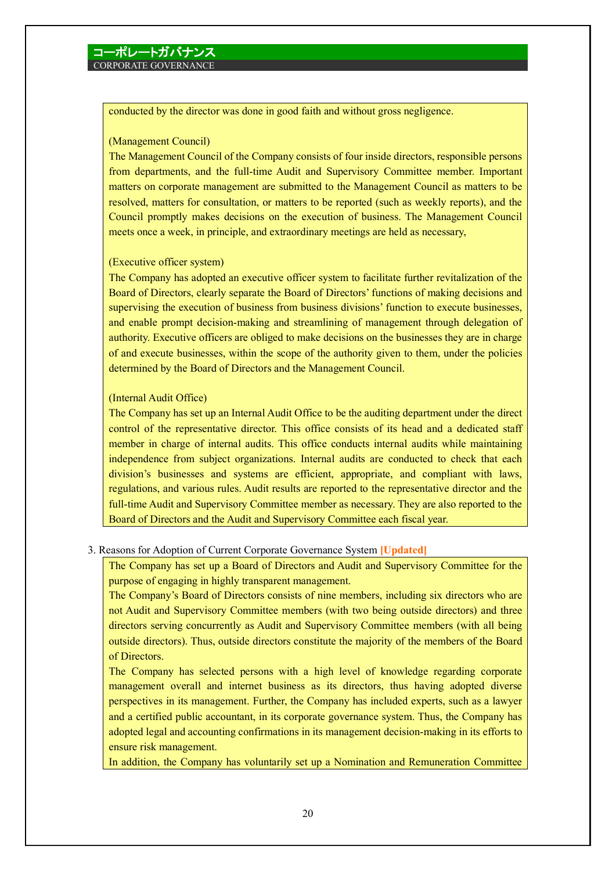conducted by the director was done in good faith and without gross negligence.

### (Management Council)

The Management Council of the Company consists of four inside directors, responsible persons from departments, and the full-time Audit and Supervisory Committee member. Important matters on corporate management are submitted to the Management Council as matters to be resolved, matters for consultation, or matters to be reported (such as weekly reports), and the Council promptly makes decisions on the execution of business. The Management Council meets once a week, in principle, and extraordinary meetings are held as necessary,

### (Executive officer system)

The Company has adopted an executive officer system to facilitate further revitalization of the Board of Directors, clearly separate the Board of Directors' functions of making decisions and supervising the execution of business from business divisions' function to execute businesses, and enable prompt decision-making and streamlining of management through delegation of authority. Executive officers are obliged to make decisions on the businesses they are in charge of and execute businesses, within the scope of the authority given to them, under the policies determined by the Board of Directors and the Management Council.

### (Internal Audit Office)

The Company has set up an Internal Audit Office to be the auditing department under the direct control of the representative director. This office consists of its head and a dedicated staff member in charge of internal audits. This office conducts internal audits while maintaining independence from subject organizations. Internal audits are conducted to check that each division's businesses and systems are efficient, appropriate, and compliant with laws, regulations, and various rules. Audit results are reported to the representative director and the full-time Audit and Supervisory Committee member as necessary. They are also reported to the Board of Directors and the Audit and Supervisory Committee each fiscal year.

### 3. Reasons for Adoption of Current Corporate Governance System **[Updated]**

The Company has set up a Board of Directors and Audit and Supervisory Committee for the purpose of engaging in highly transparent management.

The Company's Board of Directors consists of nine members, including six directors who are not Audit and Supervisory Committee members (with two being outside directors) and three directors serving concurrently as Audit and Supervisory Committee members (with all being outside directors). Thus, outside directors constitute the majority of the members of the Board of Directors.

The Company has selected persons with a high level of knowledge regarding corporate management overall and internet business as its directors, thus having adopted diverse perspectives in its management. Further, the Company has included experts, such as a lawyer and a certified public accountant, in its corporate governance system. Thus, the Company has adopted legal and accounting confirmations in its management decision-making in its efforts to ensure risk management.

In addition, the Company has voluntarily set up a Nomination and Remuneration Committee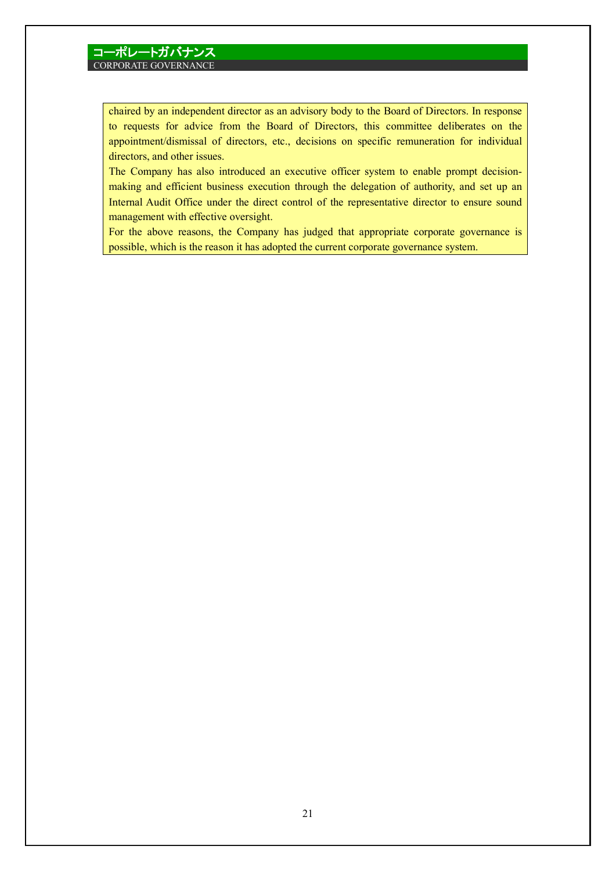chaired by an independent director as an advisory body to the Board of Directors. In response to requests for advice from the Board of Directors, this committee deliberates on the appointment/dismissal of directors, etc., decisions on specific remuneration for individual directors, and other issues.

The Company has also introduced an executive officer system to enable prompt decisionmaking and efficient business execution through the delegation of authority, and set up an Internal Audit Office under the direct control of the representative director to ensure sound management with effective oversight.

For the above reasons, the Company has judged that appropriate corporate governance is possible, which is the reason it has adopted the current corporate governance system.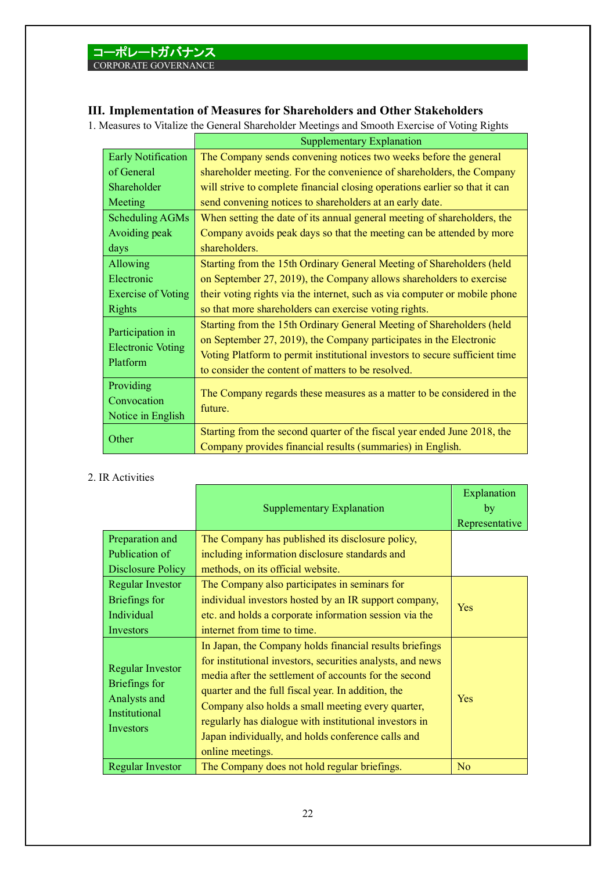## **III. Implementation of Measures for Shareholders and Other Stakeholders**

1. Measures to Vitalize the General Shareholder Meetings and Smooth Exercise of Voting Rights

|                                      | <b>Supplementary Explanation</b>                                            |
|--------------------------------------|-----------------------------------------------------------------------------|
| <b>Early Notification</b>            | The Company sends convening notices two weeks before the general            |
| of General                           | shareholder meeting. For the convenience of shareholders, the Company       |
| Shareholder                          | will strive to complete financial closing operations earlier so that it can |
| Meeting                              | send convening notices to shareholders at an early date.                    |
| Scheduling AGMs                      | When setting the date of its annual general meeting of shareholders, the    |
| Avoiding peak                        | Company avoids peak days so that the meeting can be attended by more        |
| days                                 | shareholders.                                                               |
| Allowing                             | Starting from the 15th Ordinary General Meeting of Shareholders (held       |
| Electronic                           | on September 27, 2019), the Company allows shareholders to exercise         |
| <b>Exercise of Voting</b>            | their voting rights via the internet, such as via computer or mobile phone  |
| <b>Rights</b>                        | so that more shareholders can exercise voting rights.                       |
| Participation in                     | Starting from the 15th Ordinary General Meeting of Shareholders (held       |
|                                      | on September 27, 2019), the Company participates in the Electronic          |
| <b>Electronic Voting</b><br>Platform | Voting Platform to permit institutional investors to secure sufficient time |
|                                      | to consider the content of matters to be resolved.                          |
| Providing                            |                                                                             |
| Convocation                          | The Company regards these measures as a matter to be considered in the      |
| Notice in English                    | future.                                                                     |
|                                      | Starting from the second quarter of the fiscal year ended June 2018, the    |
| Other                                | Company provides financial results (summaries) in English.                  |

### 2. IR Activities

|                                                                                        | <b>Supplementary Explanation</b>                                                                                                                                                                                                                                                                                                                                                                                              | Explanation<br>by<br>Representative |
|----------------------------------------------------------------------------------------|-------------------------------------------------------------------------------------------------------------------------------------------------------------------------------------------------------------------------------------------------------------------------------------------------------------------------------------------------------------------------------------------------------------------------------|-------------------------------------|
| Preparation and                                                                        | The Company has published its disclosure policy,                                                                                                                                                                                                                                                                                                                                                                              |                                     |
| Publication of                                                                         | including information disclosure standards and                                                                                                                                                                                                                                                                                                                                                                                |                                     |
| <b>Disclosure Policy</b>                                                               | methods, on its official website.                                                                                                                                                                                                                                                                                                                                                                                             |                                     |
| Regular Investor                                                                       | The Company also participates in seminars for                                                                                                                                                                                                                                                                                                                                                                                 |                                     |
| Briefings for                                                                          | individual investors hosted by an IR support company,                                                                                                                                                                                                                                                                                                                                                                         | <b>Yes</b>                          |
| Individual                                                                             | etc. and holds a corporate information session via the                                                                                                                                                                                                                                                                                                                                                                        |                                     |
| Investors                                                                              | internet from time to time.                                                                                                                                                                                                                                                                                                                                                                                                   |                                     |
| <b>Regular Investor</b><br>Briefings for<br>Analysts and<br>Institutional<br>Investors | In Japan, the Company holds financial results briefings<br>for institutional investors, securities analysts, and news<br>media after the settlement of accounts for the second<br>quarter and the full fiscal year. In addition, the<br>Company also holds a small meeting every quarter,<br>regularly has dialogue with institutional investors in<br>Japan individually, and holds conference calls and<br>online meetings. | <b>Yes</b>                          |
| <b>Regular Investor</b>                                                                | The Company does not hold regular briefings.                                                                                                                                                                                                                                                                                                                                                                                  | N <sub>o</sub>                      |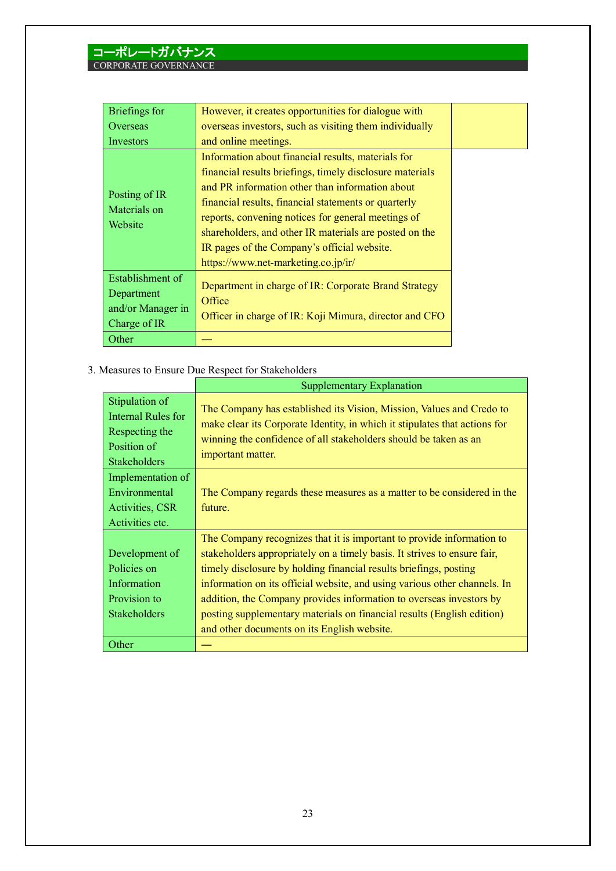| Briefings for                 | However, it creates opportunities for dialogue with      |  |
|-------------------------------|----------------------------------------------------------|--|
| Overseas                      | overseas investors, such as visiting them individually   |  |
| Investors                     | and online meetings.                                     |  |
|                               | Information about financial results, materials for       |  |
|                               | financial results briefings, timely disclosure materials |  |
|                               | and PR information other than information about          |  |
| Posting of IR<br>Materials on | financial results, financial statements or quarterly     |  |
|                               | reports, convening notices for general meetings of       |  |
| Website                       | shareholders, and other IR materials are posted on the   |  |
|                               | IR pages of the Company's official website.              |  |
|                               | https://www.net-marketing.co.jp/ir/                      |  |
| Establishment of              |                                                          |  |
| Department                    | Department in charge of IR: Corporate Brand Strategy     |  |
| and/or Manager in             | Office                                                   |  |
| Charge of IR                  | Officer in charge of IR: Koji Mimura, director and CFO   |  |
| Other                         |                                                          |  |

3. Measures to Ensure Due Respect for Stakeholders

|                                                                                              | <b>Supplementary Explanation</b>                                                                                                                                                                                                                                                                                                                                                                                                                                                                    |  |
|----------------------------------------------------------------------------------------------|-----------------------------------------------------------------------------------------------------------------------------------------------------------------------------------------------------------------------------------------------------------------------------------------------------------------------------------------------------------------------------------------------------------------------------------------------------------------------------------------------------|--|
| Stipulation of<br>Internal Rules for<br>Respecting the<br>Position of<br><b>Stakeholders</b> | The Company has established its Vision, Mission, Values and Credo to<br>make clear its Corporate Identity, in which it stipulates that actions for<br>winning the confidence of all stakeholders should be taken as an<br>important matter.                                                                                                                                                                                                                                                         |  |
| Implementation of<br>Environmental<br>Activities, CSR<br>Activities etc.                     | The Company regards these measures as a matter to be considered in the<br>future.                                                                                                                                                                                                                                                                                                                                                                                                                   |  |
| Development of<br>Policies on<br>Information<br>Provision to<br><b>Stakeholders</b>          | The Company recognizes that it is important to provide information to<br>stakeholders appropriately on a timely basis. It strives to ensure fair,<br>timely disclosure by holding financial results briefings, posting<br>information on its official website, and using various other channels. In<br>addition, the Company provides information to overseas investors by<br>posting supplementary materials on financial results (English edition)<br>and other documents on its English website. |  |
| Other                                                                                        |                                                                                                                                                                                                                                                                                                                                                                                                                                                                                                     |  |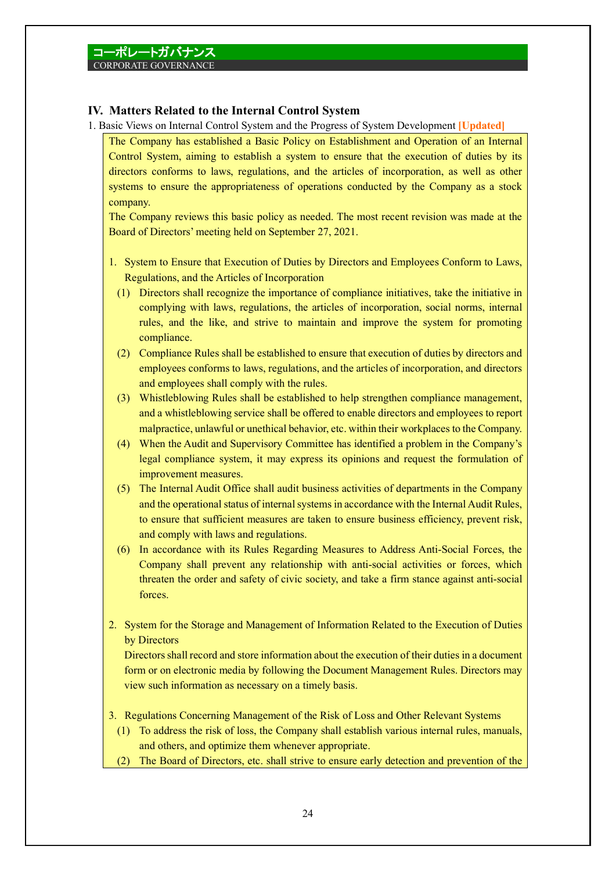### **IV. Matters Related to the Internal Control System**

- 1. Basic Views on Internal Control System and the Progress of System Development **[Updated]**
	- The Company has established a Basic Policy on Establishment and Operation of an Internal Control System, aiming to establish a system to ensure that the execution of duties by its directors conforms to laws, regulations, and the articles of incorporation, as well as other systems to ensure the appropriateness of operations conducted by the Company as a stock company.

The Company reviews this basic policy as needed. The most recent revision was made at the Board of Directors' meeting held on September 27, 2021.

- 1. System to Ensure that Execution of Duties by Directors and Employees Conform to Laws, Regulations, and the Articles of Incorporation
	- (1) Directors shall recognize the importance of compliance initiatives, take the initiative in complying with laws, regulations, the articles of incorporation, social norms, internal rules, and the like, and strive to maintain and improve the system for promoting compliance.
	- (2) Compliance Rules shall be established to ensure that execution of duties by directors and employees conforms to laws, regulations, and the articles of incorporation, and directors and employees shall comply with the rules.
	- (3) Whistleblowing Rules shall be established to help strengthen compliance management, and a whistleblowing service shall be offered to enable directors and employees to report malpractice, unlawful or unethical behavior, etc. within their workplaces to the Company.
	- (4) When the Audit and Supervisory Committee has identified a problem in the Company's legal compliance system, it may express its opinions and request the formulation of improvement measures.
	- (5) The Internal Audit Office shall audit business activities of departments in the Company and the operational status of internal systems in accordance with the Internal Audit Rules, to ensure that sufficient measures are taken to ensure business efficiency, prevent risk, and comply with laws and regulations.
	- (6) In accordance with its Rules Regarding Measures to Address Anti-Social Forces, the Company shall prevent any relationship with anti-social activities or forces, which threaten the order and safety of civic society, and take a firm stance against anti-social forces.
- 2. System for the Storage and Management of Information Related to the Execution of Duties by Directors

Directors shall record and store information about the execution of their duties in a document form or on electronic media by following the Document Management Rules. Directors may view such information as necessary on a timely basis.

- 3. Regulations Concerning Management of the Risk of Loss and Other Relevant Systems
	- (1) To address the risk of loss, the Company shall establish various internal rules, manuals, and others, and optimize them whenever appropriate.
- (2) The Board of Directors, etc. shall strive to ensure early detection and prevention of the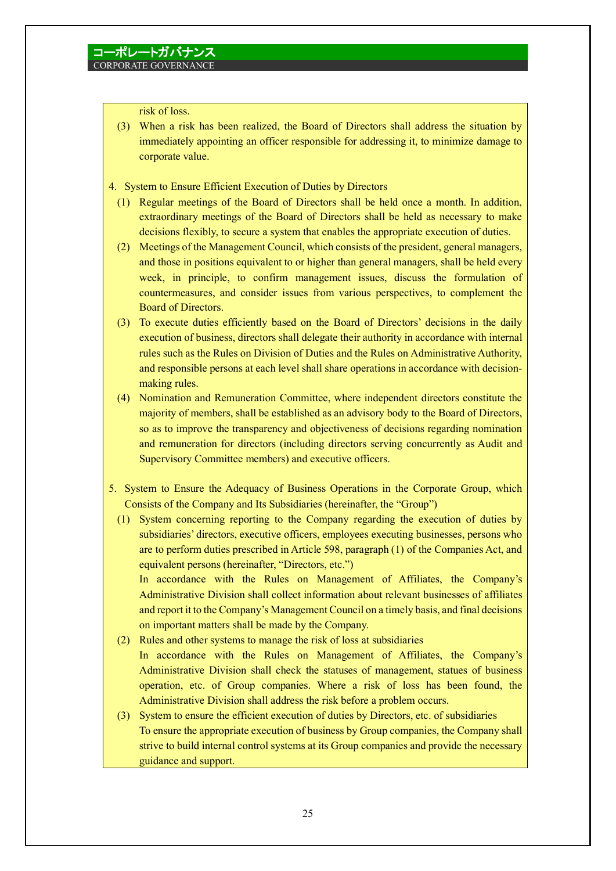risk of loss.

- (3) When a risk has been realized, the Board of Directors shall address the situation by immediately appointing an officer responsible for addressing it, to minimize damage to corporate value.
- 4. System to Ensure Efficient Execution of Duties by Directors
	- (1) Regular meetings of the Board of Directors shall be held once a month. In addition, extraordinary meetings of the Board of Directors shall be held as necessary to make decisions flexibly, to secure a system that enables the appropriate execution of duties.
	- (2) Meetings of the Management Council, which consists of the president, general managers, and those in positions equivalent to or higher than general managers, shall be held every week, in principle, to confirm management issues, discuss the formulation of countermeasures, and consider issues from various perspectives, to complement the Board of Directors.
	- (3) To execute duties efficiently based on the Board of Directors' decisions in the daily execution of business, directors shall delegate their authority in accordance with internal rules such as the Rules on Division of Duties and the Rules on Administrative Authority, and responsible persons at each level shall share operations in accordance with decisionmaking rules.
	- (4) Nomination and Remuneration Committee, where independent directors constitute the majority of members, shall be established as an advisory body to the Board of Directors, so as to improve the transparency and objectiveness of decisions regarding nomination and remuneration for directors (including directors serving concurrently as Audit and Supervisory Committee members) and executive officers.
- 5. System to Ensure the Adequacy of Business Operations in the Corporate Group, which Consists of the Company and Its Subsidiaries (hereinafter, the "Group")
	- (1) System concerning reporting to the Company regarding the execution of duties by subsidiaries' directors, executive officers, employees executing businesses, persons who are to perform duties prescribed in Article 598, paragraph (1) of the Companies Act, and equivalent persons (hereinafter, "Directors, etc.")

In accordance with the Rules on Management of Affiliates, the Company's Administrative Division shall collect information about relevant businesses of affiliates and report it to the Company's Management Council on a timely basis, and final decisions on important matters shall be made by the Company.

- (2) Rules and other systems to manage the risk of loss at subsidiaries In accordance with the Rules on Management of Affiliates, the Company's Administrative Division shall check the statuses of management, statues of business operation, etc. of Group companies. Where a risk of loss has been found, the Administrative Division shall address the risk before a problem occurs.
- (3) System to ensure the efficient execution of duties by Directors, etc. of subsidiaries To ensure the appropriate execution of business by Group companies, the Company shall strive to build internal control systems at its Group companies and provide the necessary guidance and support.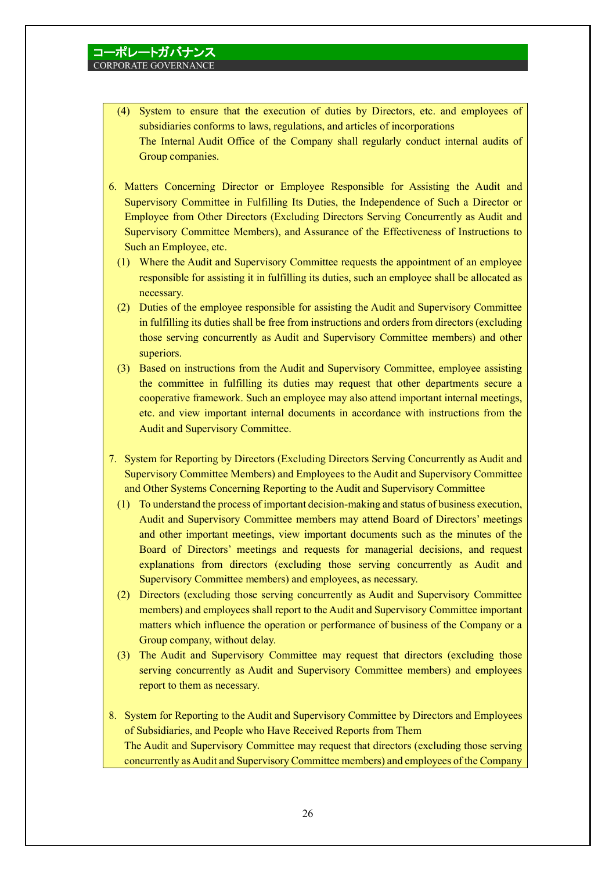- (4) System to ensure that the execution of duties by Directors, etc. and employees of subsidiaries conforms to laws, regulations, and articles of incorporations The Internal Audit Office of the Company shall regularly conduct internal audits of Group companies.
- 6. Matters Concerning Director or Employee Responsible for Assisting the Audit and Supervisory Committee in Fulfilling Its Duties, the Independence of Such a Director or Employee from Other Directors (Excluding Directors Serving Concurrently as Audit and Supervisory Committee Members), and Assurance of the Effectiveness of Instructions to Such an Employee, etc.
	- (1) Where the Audit and Supervisory Committee requests the appointment of an employee responsible for assisting it in fulfilling its duties, such an employee shall be allocated as necessary.
	- (2) Duties of the employee responsible for assisting the Audit and Supervisory Committee in fulfilling its duties shall be free from instructions and orders from directors (excluding those serving concurrently as Audit and Supervisory Committee members) and other superiors.
	- (3) Based on instructions from the Audit and Supervisory Committee, employee assisting the committee in fulfilling its duties may request that other departments secure a cooperative framework. Such an employee may also attend important internal meetings, etc. and view important internal documents in accordance with instructions from the Audit and Supervisory Committee.
- 7. System for Reporting by Directors (Excluding Directors Serving Concurrently as Audit and Supervisory Committee Members) and Employees to the Audit and Supervisory Committee and Other Systems Concerning Reporting to the Audit and Supervisory Committee
	- (1) To understand the process of important decision-making and status of business execution, Audit and Supervisory Committee members may attend Board of Directors' meetings and other important meetings, view important documents such as the minutes of the Board of Directors' meetings and requests for managerial decisions, and request explanations from directors (excluding those serving concurrently as Audit and Supervisory Committee members) and employees, as necessary.
	- (2) Directors (excluding those serving concurrently as Audit and Supervisory Committee members) and employees shall report to the Audit and Supervisory Committee important matters which influence the operation or performance of business of the Company or a Group company, without delay.
	- (3) The Audit and Supervisory Committee may request that directors (excluding those serving concurrently as Audit and Supervisory Committee members) and employees report to them as necessary.
- 8. System for Reporting to the Audit and Supervisory Committee by Directors and Employees of Subsidiaries, and People who Have Received Reports from Them The Audit and Supervisory Committee may request that directors (excluding those serving concurrently as Audit and Supervisory Committee members) and employees of the Company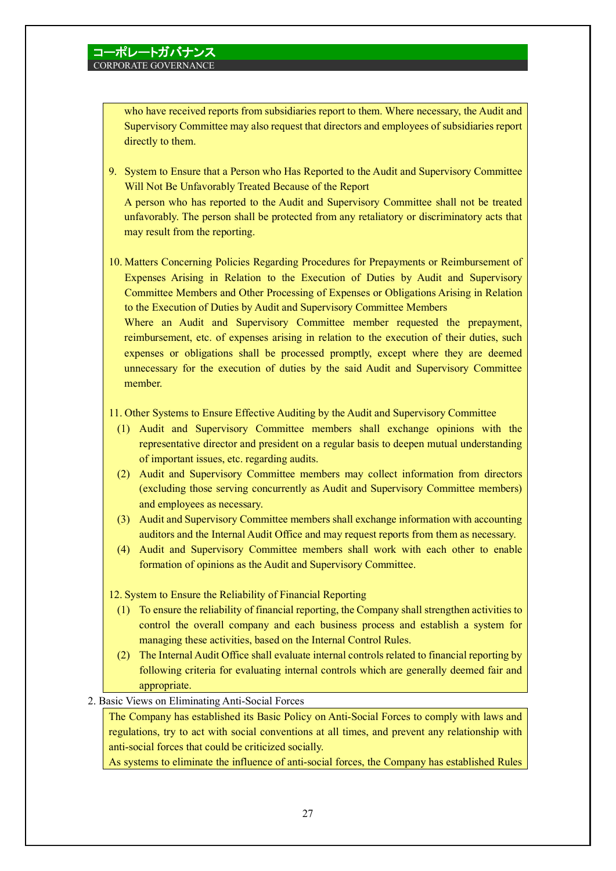member.

who have received reports from subsidiaries report to them. Where necessary, the Audit and Supervisory Committee may also request that directors and employees of subsidiaries report directly to them.

- 9. System to Ensure that a Person who Has Reported to the Audit and Supervisory Committee Will Not Be Unfavorably Treated Because of the Report A person who has reported to the Audit and Supervisory Committee shall not be treated unfavorably. The person shall be protected from any retaliatory or discriminatory acts that may result from the reporting.
- 10. Matters Concerning Policies Regarding Procedures for Prepayments or Reimbursement of Expenses Arising in Relation to the Execution of Duties by Audit and Supervisory Committee Members and Other Processing of Expenses or Obligations Arising in Relation to the Execution of Duties by Audit and Supervisory Committee Members Where an Audit and Supervisory Committee member requested the prepayment, reimbursement, etc. of expenses arising in relation to the execution of their duties, such expenses or obligations shall be processed promptly, except where they are deemed unnecessary for the execution of duties by the said Audit and Supervisory Committee
- 11. Other Systems to Ensure Effective Auditing by the Audit and Supervisory Committee
	- (1) Audit and Supervisory Committee members shall exchange opinions with the representative director and president on a regular basis to deepen mutual understanding of important issues, etc. regarding audits.
	- (2) Audit and Supervisory Committee members may collect information from directors (excluding those serving concurrently as Audit and Supervisory Committee members) and employees as necessary.
	- (3) Audit and Supervisory Committee members shall exchange information with accounting auditors and the Internal Audit Office and may request reports from them as necessary.
	- (4) Audit and Supervisory Committee members shall work with each other to enable formation of opinions as the Audit and Supervisory Committee.
- 12. System to Ensure the Reliability of Financial Reporting
	- (1) To ensure the reliability of financial reporting, the Company shall strengthen activities to control the overall company and each business process and establish a system for managing these activities, based on the Internal Control Rules.
	- (2) The Internal Audit Office shall evaluate internal controls related to financial reporting by following criteria for evaluating internal controls which are generally deemed fair and appropriate.
- 2. Basic Views on Eliminating Anti-Social Forces

The Company has established its Basic Policy on Anti-Social Forces to comply with laws and regulations, try to act with social conventions at all times, and prevent any relationship with anti-social forces that could be criticized socially.

As systems to eliminate the influence of anti-social forces, the Company has established Rules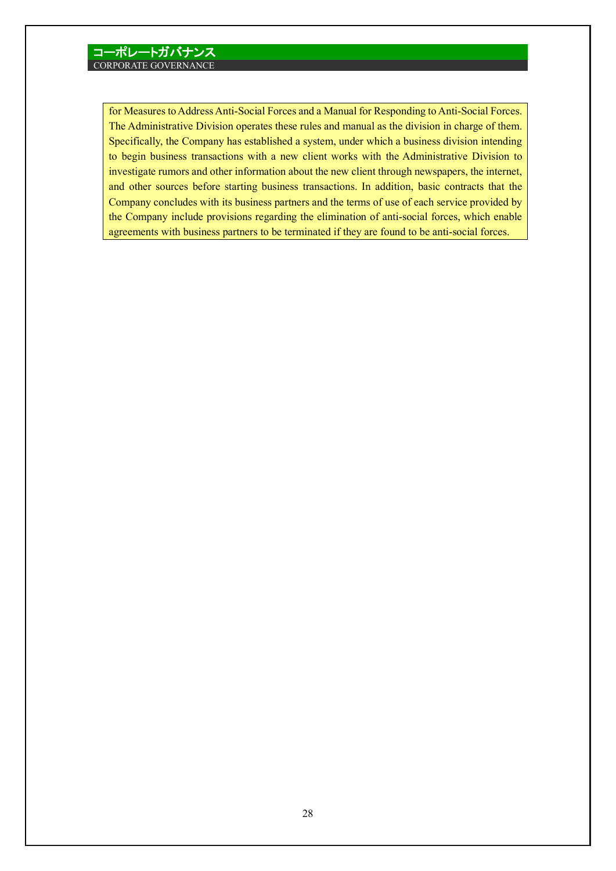for Measures to Address Anti-Social Forces and a Manual for Responding to Anti-Social Forces. The Administrative Division operates these rules and manual as the division in charge of them. Specifically, the Company has established a system, under which a business division intending to begin business transactions with a new client works with the Administrative Division to investigate rumors and other information about the new client through newspapers, the internet, and other sources before starting business transactions. In addition, basic contracts that the Company concludes with its business partners and the terms of use of each service provided by the Company include provisions regarding the elimination of anti-social forces, which enable agreements with business partners to be terminated if they are found to be anti-social forces.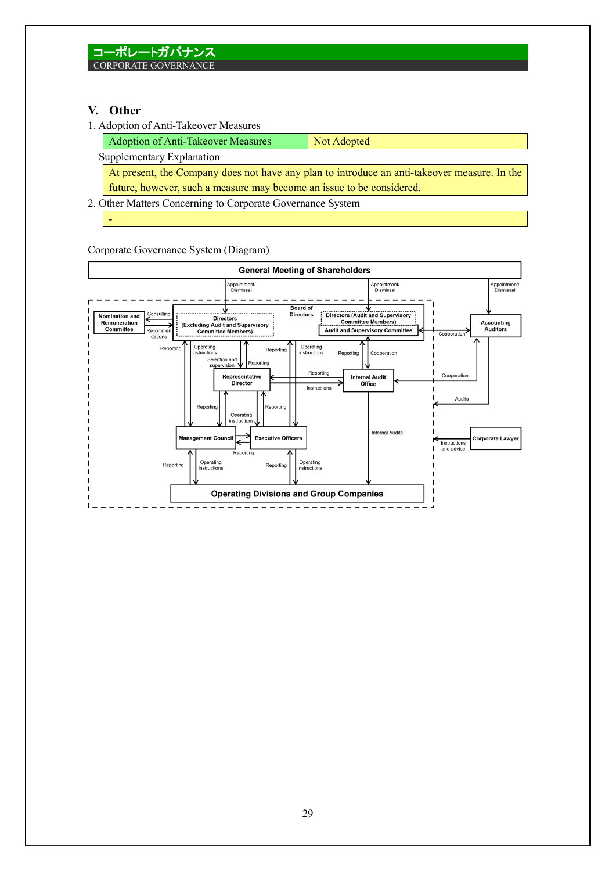## **V. Other**

-

1. Adoption of Anti-Takeover Measures

| <b>Adoption of Anti-Takeover Measures</b>                                                     | Not Adopted |  |
|-----------------------------------------------------------------------------------------------|-------------|--|
| Supplementary Explanation                                                                     |             |  |
| At present, the Company does not have any plan to introduce an anti-take over measure. In the |             |  |
| future, however, such a measure may become an issue to be considered.                         |             |  |

2. Other Matters Concerning to Corporate Governance System

Corporate Governance System (Diagram)